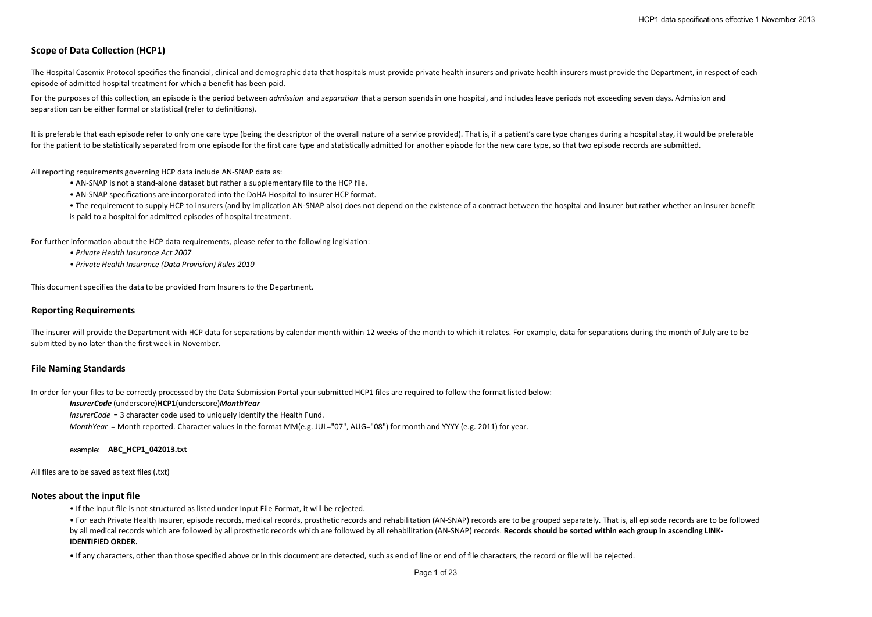# **Scope of Data Collection (HCP1)**

The Hospital Casemix Protocol specifies the financial, clinical and demographic data that hospitals must provide private health insurers and private health insurers must provide the Department, in respect of each episode of admitted hospital treatment for which a benefit has been paid.

For the purposes of this collection, an episode is the period between *admission* and *separation* that a person spends in one hospital, and includes leave periods not exceeding seven days. Admission and separation can be either formal or statistical (refer to definitions).

It is preferable that each episode refer to only one care type (being the descriptor of the overall nature of a service provided). That is, if a patient's care type changes during a hospital stay, it would be preferable for the patient to be statistically separated from one episode for the first care type and statistically admitted for another episode for the new care type, so that two episode records are submitted.

All reporting requirements governing HCP data include AN-SNAP data as:

- AN-SNAP is not a stand-alone dataset but rather a supplementary file to the HCP file.
- AN-SNAP specifications are incorporated into the DoHA Hospital to Insurer HCP format.
- The requirement to supply HCP to insurers (and by implication AN-SNAP also) does not depend on the existence of a contract between the hospital and insurer but rather whether an insurer benefit is paid to a hospital for admitted episodes of hospital treatment.

For further information about the HCP data requirements, please refer to the following legislation:

- *Private Health Insurance Act 2007*
- *Private Health Insurance (Data Provision) Rules 2010*

This document specifies the data to be provided from Insurers to the Department.

## **Reporting Requirements**

The insurer will provide the Department with HCP data for separations by calendar month within 12 weeks of the month to which it relates. For example, data for separations during the month of July are to be submitted by no later than the first week in November.

#### **File Naming Standards**

In order for your files to be correctly processed by the Data Submission Portal your submitted HCP1 files are required to follow the format listed below:

## *InsurerCode* (underscore)**HCP1**(underscore)*MonthYear*

*InsurerCode* = 3 character code used to uniquely identify the Health Fund.

*MonthYear* = Month reported. Character values in the format MM(e.g. JUL="07", AUG="08") for month and YYYY (e.g. 2011) for year.

#### example: **ABC\_HCP1\_042013.txt**

All files are to be saved as text files (.txt)

#### **Notes about the input file**

• If the input file is not structured as listed under Input File Format, it will be rejected.

• For each Private Health Insurer, episode records, medical records, prosthetic records and rehabilitation (AN-SNAP) records are to be grouped separately. That is, all episode records are to be followed by all medical records which are followed by all prosthetic records which are followed by all rehabilitation (AN-SNAP) records. Records should be sorted within each group in ascending LINK-**IDENTIFIED ORDER.** 

• If any characters, other than those specified above or in this document are detected, such as end of line or end of file characters, the record or file will be rejected.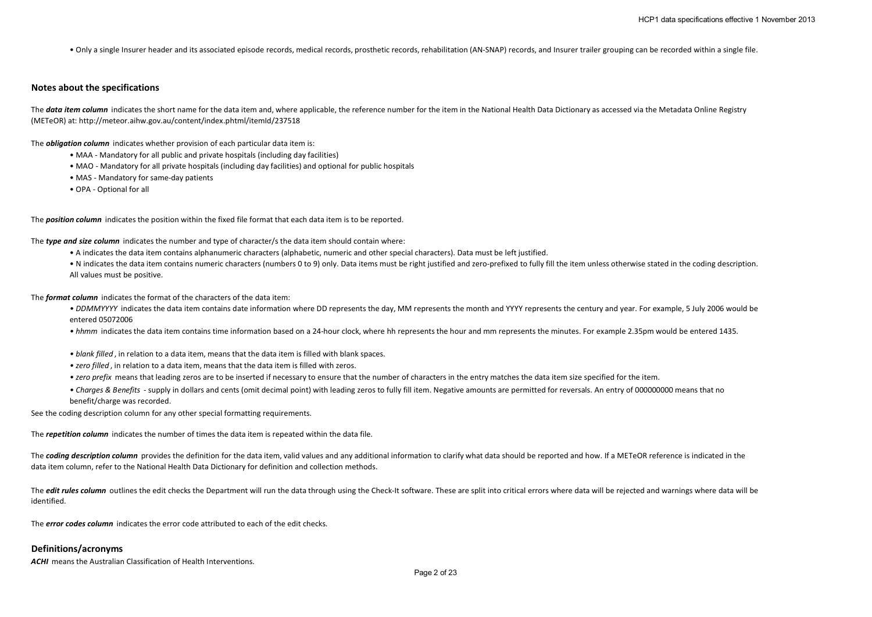• Only a single Insurer header and its associated episode records, medical records, prosthetic records, rehabilitation (AN-SNAP) records, and Insurer trailer grouping can be recorded within a single file.

#### **Notes about the specifications**

The **data item column** indicates the short name for the data item and, where applicable, the reference number for the item in the National Health Data Dictionary as accessed via the Metadata Online Registry (METeOR) at: http://meteor.aihw.gov.au/content/index.phtml/itemId/237518

The *obligation column* indicates whether provision of each particular data item is:

- MAA Mandatory for all public and private hospitals (including day facilities)
- MAO Mandatory for all private hospitals (including day facilities) and optional for public hospitals
- MAS Mandatory for same-day patients
- OPA Optional for all

The *position column* indicates the position within the fixed file format that each data item is to be reported.

The *type and size column* indicates the number and type of character/s the data item should contain where:

- A indicates the data item contains alphanumeric characters (alphabetic, numeric and other special characters). Data must be left justified.
- N indicates the data item contains numeric characters (numbers 0 to 9) only. Data items must be right justified and zero-prefixed to fully fill the item unless otherwise stated in the coding description. All values must be positive.

The *format column* indicates the format of the characters of the data item:

- DDMMYYYY indicates the data item contains date information where DD represents the day, MM represents the month and YYYY represents the century and year. For example, 5 July 2006 would be entered 05072006
- *hhmm* indicates the data item contains time information based on a 24-hour clock, where hh represents the hour and mm represents the minutes. For example 2.35pm would be entered 1435.
- *blank filled* , in relation to a data item, means that the data item is filled with blank spaces.
- *zero filled* , in relation to a data item, means that the data item is filled with zeros.
- *zero prefix* means that leading zeros are to be inserted if necessary to ensure that the number of characters in the entry matches the data item size specified for the item.
- *Charges & Benefits*  supply in dollars and cents (omit decimal point) with leading zeros to fully fill item. Negative amounts are permitted for reversals. An entry of 000000000 means that no benefit/charge was recorded.

See the coding description column for any other special formatting requirements.

The *repetition column* indicates the number of times the data item is repeated within the data file.

The **coding description column** provides the definition for the data item, valid values and any additional information to clarify what data should be reported and how. If a METeOR reference is indicated in the data item column, refer to the National Health Data Dictionary for definition and collection methods.

The **edit rules column** outlines the edit checks the Department will run the data through using the Check-It software. These are split into critical errors where data will be rejected and warnings where data will be identified.

The *error codes column* indicates the error code attributed to each of the edit checks.

## **Definitions/acronyms**

**ACHI** means the Australian Classification of Health Interventions.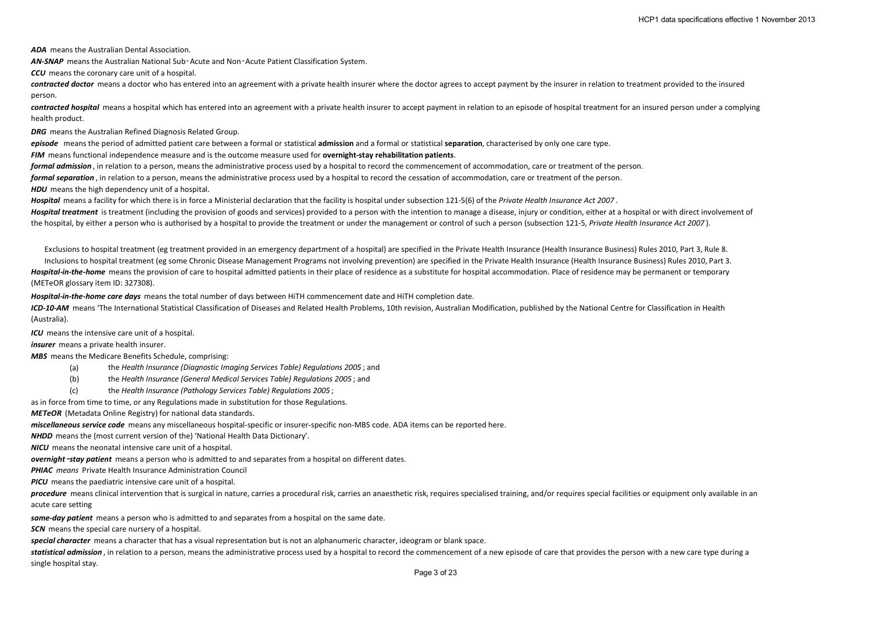*ADA* means the Australian Dental Association.

*AN-SNAP* means the Australian National Sub‑Acute and Non‑Acute Patient Classification System.

*CCU* means the coronary care unit of a hospital.

contracted doctor means a doctor who has entered into an agreement with a private health insurer where the doctor agrees to accept payment by the insurer in relation to treatment provided to the insured person.

*contracted hospital* means a hospital which has entered into an agreement with a private health insurer to accept payment in relation to an episode of hospital treatment for an insured person under a complying health product.

*DRG* means the Australian Refined Diagnosis Related Group.

*episode* means the period of admitted patient care between a formal or statistical **admission** and a formal or statistical **separation**, characterised by only one care type.

*FIM* means functional independence measure and is the outcome measure used for **overnight-stay rehabilitation patients**.

*formal admission* , in relation to a person, means the administrative process used by a hospital to record the commencement of accommodation, care or treatment of the person.

*formal separation* , in relation to a person, means the administrative process used by a hospital to record the cessation of accommodation, care or treatment of the person.

**HDU** means the high dependency unit of a hospital.

*Hospital* means a facility for which there is in force a Ministerial declaration that the facility is hospital under subsection 121-5(6) of the *Private Health Insurance Act 2007* .

Hospital treatment is treatment (including the provision of goods and services) provided to a person with the intention to manage a disease, injury or condition, either at a hospital or with direct involvement of the hospital, by either a person who is authorised by a hospital to provide the treatment or under the management or control of such a person (subsection 121-5, *Private Health Insurance Act 2007* ).

Exclusions to hospital treatment (eg treatment provided in an emergency department of a hospital) are specified in the Private Health Insurance (Health Insurance Business) Rules 2010, Part 3, Rule 8.

Inclusions to hospital treatment (eg some Chronic Disease Management Programs not involving prevention) are specified in the Private Health Insurance (Health Insurance Business) Rules 2010, Part 3. *Hospital-in-the-home* means the provision of care to hospital admitted patients in their place of residence as a substitute for hospital accommodation. Place of residence may be permanent or temporary (METeOR glossary item ID: 327308).

*Hospital-in-the-home care days* means the total number of days between HiTH commencement date and HiTH completion date.

*ICD-10-AM* means 'The International Statistical Classification of Diseases and Related Health Problems, 10th revision, Australian Modification, published by the National Centre for Classification in Health (Australia).

*ICU* means the intensive care unit of a hospital.

*insurer* means a private health insurer.

*MBS* means the Medicare Benefits Schedule, comprising:

- (a) the *Health Insurance (Diagnostic Imaging Services Table) Regulations 2005* ; and
- (b) the *Health Insurance (General Medical Services Table) Regulations 2005* ; and
- (c) the *Health Insurance (Pathology Services Table) Regulations 2005* ;

as in force from time to time, or any Regulations made in substitution for those Regulations.

*METeOR* (Metadata Online Registry) for national data standards.

*miscellaneous service code* means any miscellaneous hospital-specific or insurer-specific non-MBS code. ADA items can be reported here.

*NHDD* means the (most current version of the) 'National Health Data Dictionary'.

*NICU* means the neonatal intensive care unit of a hospital.

*overnight*‑*stay patient* means a person who is admitted to and separates from a hospital on different dates.

*PHIAC means* Private Health Insurance Administration Council

*PICU* means the paediatric intensive care unit of a hospital.

procedure means clinical intervention that is surgical in nature, carries a procedural risk, carries an anaesthetic risk, requires specialised training, and/or requires special facilities or equipment only available in an acute care setting

*same-day patient* means a person who is admitted to and separates from a hospital on the same date.

**SCN** means the special care nursery of a hospital.

*special character* means a character that has a visual representation but is not an alphanumeric character, ideogram or blank space.

statistical admission, in relation to a person, means the administrative process used by a hospital to record the commencement of a new episode of care that provides the person with a new care type during a single hospital stay.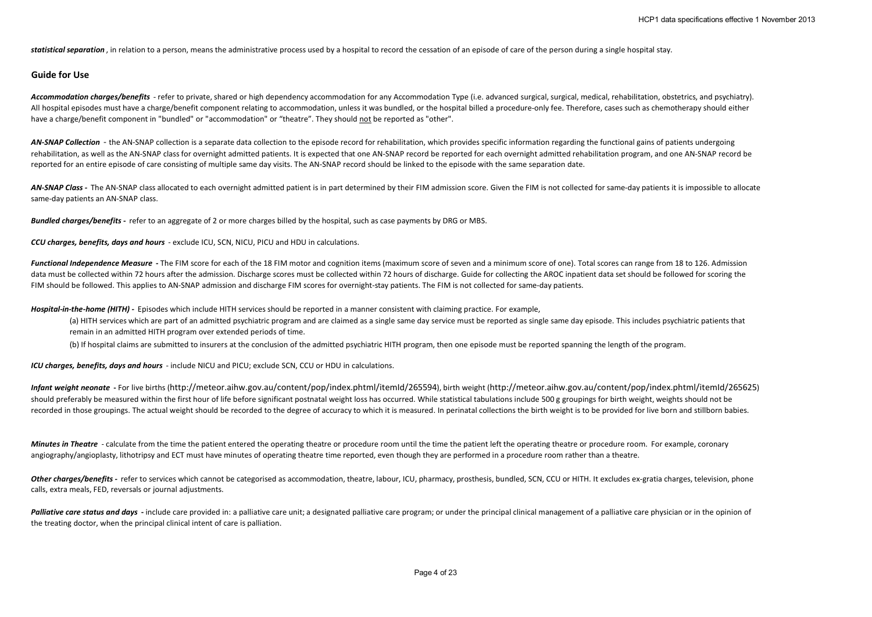statistical separation, in relation to a person, means the administrative process used by a hospital to record the cessation of an episode of care of the person during a single hospital stay.

# **Guide for Use**

Accommodation charges/benefits - refer to private, shared or high dependency accommodation for any Accommodation Type (i.e. advanced surgical, surgical, medical, rehabilitation, obstetrics, and psychiatry). All hospital episodes must have a charge/benefit component relating to accommodation, unless it was bundled, or the hospital billed a procedure-only fee. Therefore, cases such as chemotherapy should either have a charge/benefit component in "bundled" or "accommodation" or "theatre". They should not be reported as "other".

AN-SNAP Collection - the AN-SNAP collection is a separate data collection to the episode record for rehabilitation, which provides specific information regarding the functional gains of patients undergoing rehabilitation, as well as the AN-SNAP class for overnight admitted patients. It is expected that one AN-SNAP record be reported for each overnight admitted rehabilitation program, and one AN-SNAP record be reported for an entire episode of care consisting of multiple same day visits. The AN-SNAP record should be linked to the episode with the same separation date.

AN-SNAP Class - The AN-SNAP class allocated to each overnight admitted patient is in part determined by their FIM admission score. Given the FIM is not collected for same-day patients it is impossible to allocate same-day patients an AN-SNAP class.

*Bundled charges/benefits -* refer to an aggregate of 2 or more charges billed by the hospital, such as case payments by DRG or MBS.

*CCU charges, benefits, days and hours* - exclude ICU, SCN, NICU, PICU and HDU in calculations.

Functional Independence Measure - The FIM score for each of the 18 FIM motor and cognition items (maximum score of seven and a minimum score of one). Total scores can range from 18 to 126. Admission data must be collected within 72 hours after the admission. Discharge scores must be collected within 72 hours of discharge. Guide for collecting the AROC inpatient data set should be followed for scoring the FIM should be followed. This applies to AN-SNAP admission and discharge FIM scores for overnight-stay patients. The FIM is not collected for same-day patients.

*Hospital-in-the-home (HITH) -* Episodes which include HITH services should be reported in a manner consistent with claiming practice. For example,

(a) HITH services which are part of an admitted psychiatric program and are claimed as a single same day service must be reported as single same day episode. This includes psychiatric patients that remain in an admitted HITH program over extended periods of time.

(b) If hospital claims are submitted to insurers at the conclusion of the admitted psychiatric HITH program, then one episode must be reported spanning the length of the program.

*ICU charges, benefits, days and hours* - include NICU and PICU; exclude SCN, CCU or HDU in calculations.

*Infant weight neonate* **-** For live births (http://meteor.aihw.gov.au/content/pop/index.phtml/itemId/265594), birth weight (http://meteor.aihw.gov.au/content/pop/index.phtml/itemId/265625) should preferably be measured within the first hour of life before significant postnatal weight loss has occurred. While statistical tabulations include 500 g groupings for birth weight, weights should not be recorded in those groupings. The actual weight should be recorded to the degree of accuracy to which it is measured. In perinatal collections the birth weight is to be provided for live born and stillborn babies.

*Minutes in Theatre* - calculate from the time the patient entered the operating theatre or procedure room until the time the patient left the operating theatre or procedure room. For example, coronary angiography/angioplasty, lithotripsy and ECT must have minutes of operating theatre time reported, even though they are performed in a procedure room rather than a theatre.

Other charges/benefits - refer to services which cannot be categorised as accommodation, theatre, labour, ICU, pharmacy, prosthesis, bundled, SCN, CCU or HITH. It excludes ex-gratia charges, television, phone calls, extra meals, FED, reversals or journal adjustments.

Palliative care status and days - include care provided in: a palliative care unit; a designated palliative care program; or under the principal clinical management of a palliative care physician or in the opinion of the treating doctor, when the principal clinical intent of care is palliation.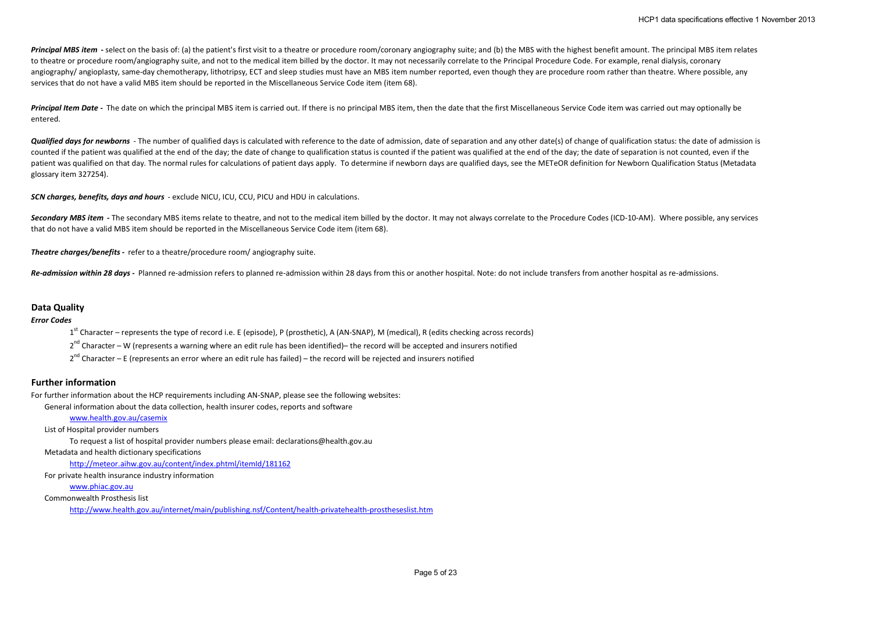Principal MBS item - select on the basis of: (a) the patient's first visit to a theatre or procedure room/coronary angiography suite; and (b) the MBS with the highest benefit amount. The principal MBS item relates to theatre or procedure room/angiography suite, and not to the medical item billed by the doctor. It may not necessarily correlate to the Principal Procedure Code. For example, renal dialysis, coronary angiography/ angioplasty, same-day chemotherapy, lithotripsy, ECT and sleep studies must have an MBS item number reported, even though they are procedure room rather than theatre. Where possible, any services that do not have a valid MBS item should be reported in the Miscellaneous Service Code item (item 68).

Principal Item Date - The date on which the principal MBS item is carried out. If there is no principal MBS item, then the date that the first Miscellaneous Service Code item was carried out may optionally be entered.

**Qualified days for newborns** - The number of qualified days is calculated with reference to the date of admission, date of separation and any other date(s) of change of qualification status: the date of admission is counted if the patient was qualified at the end of the day; the date of change to qualification status is counted if the patient was qualified at the end of the day; the date of separation is not counted, even if the patient was qualified on that day. The normal rules for calculations of patient days apply. To determine if newborn days are qualified days, see the METeOR definition for Newborn Qualification Status (Metadata glossary item 327254).

*SCN charges, benefits, days and hours* - exclude NICU, ICU, CCU, PICU and HDU in calculations.

Secondary MBS item - The secondary MBS items relate to theatre, and not to the medical item billed by the doctor. It may not always correlate to the Procedure Codes (ICD-10-AM). Where possible, any services that do not have a valid MBS item should be reported in the Miscellaneous Service Code item (item 68).

*Theatre charges/benefits -* refer to a theatre/procedure room/ angiography suite.

**Re-admission within 28 days - Planned re-admission refers to planned re-admission within 28 days from this or another hospital. Note: do not include transfers from another hospital as re-admissions.** 

## **Data Quality**

*Error Codes*

 $1<sup>st</sup>$  Character – represents the type of record i.e. E (episode), P (prosthetic), A (AN-SNAP), M (medical), R (edits checking across records)

2<sup>nd</sup> Character – W (represents a warning where an edit rule has been identified)– the record will be accepted and insurers notified

 $2<sup>nd</sup>$  Character – E (represents an error where an edit rule has failed) – the record will be rejected and insurers notified

## **Further information**

For further information about the HCP requirements including AN-SNAP, please see the following websites:

General information about the data collection, health insurer codes, reports and software

## www.health.gov.au/casemix

List of Hospital provider numbers

To request a list of hospital provider numbers please email: declarations@health.gov.au

#### Metadata and health dictionary specifications

http://meteor.aihw.gov.au/content/index.phtml/itemId/181162

For private health insurance industry information

## www.phiac.gov.au

Commonwealth Prosthesis list

http://www.health.gov.au/internet/main/publishing.nsf/Content/health-privatehealth-prostheseslist.htm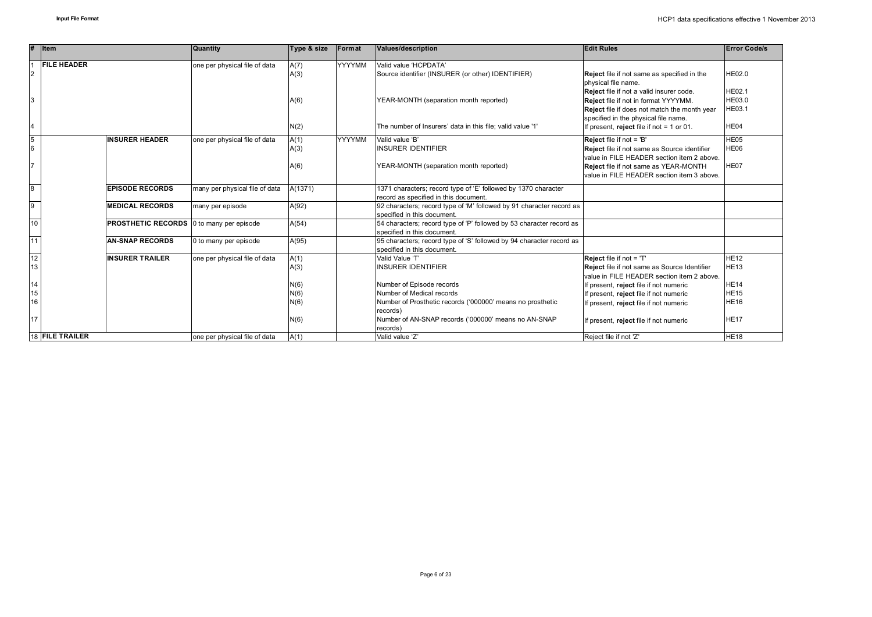|                | Item                                            | <b>Quantity</b>                | Type & size  | Format        | Values/description                                                   | <b>Edit Rules</b>                                                               | <b>Error Code/s</b> |
|----------------|-------------------------------------------------|--------------------------------|--------------|---------------|----------------------------------------------------------------------|---------------------------------------------------------------------------------|---------------------|
|                | <b>FILE HEADER</b>                              | one per physical file of data  | A(7)         | <b>YYYYMM</b> | Valid value 'HCPDATA'                                                |                                                                                 |                     |
| 2              |                                                 |                                | A(3)         |               | Source identifier (INSURER (or other) IDENTIFIER)                    | <b>Reject</b> file if not same as specified in the                              | HE02.0              |
|                |                                                 |                                |              |               |                                                                      | physical file name.                                                             |                     |
|                |                                                 |                                |              |               |                                                                      | Reject file if not a valid insurer code.                                        | <b>HE02.1</b>       |
| 3              |                                                 |                                | A(6)         |               | YEAR-MONTH (separation month reported)                               | Reject file if not in format YYYYMM.                                            | HE03.0              |
|                |                                                 |                                |              |               |                                                                      | Reject file if does not match the month year                                    | HE03.1              |
|                |                                                 |                                |              |               |                                                                      | specified in the physical file name.                                            |                     |
|                |                                                 |                                | N(2)         |               | The number of Insurers' data in this file; valid value '1'           | If present, reject file if not = 1 or 01.                                       | HE04                |
| 5              | <b>INSURER HEADER</b>                           | one per physical file of data  | A(1)         | <b>YYYYMM</b> | Valid value 'B'                                                      | <b>Reject</b> file if not = 'B'                                                 | HE05                |
| 6              |                                                 |                                | A(3)         |               | <b>INSURER IDENTIFIER</b>                                            | Reject file if not same as Source identifier                                    | HE06                |
|                |                                                 |                                |              |               |                                                                      | value in FILE HEADER section item 2 above.                                      |                     |
|                |                                                 |                                | A(6)         |               | YEAR-MONTH (separation month reported)                               | Reject file if not same as YEAR-MONTH                                           | HE07                |
|                |                                                 |                                |              |               |                                                                      | value in FILE HEADER section item 3 above.                                      |                     |
| $\overline{8}$ | <b>EPISODE RECORDS</b>                          | many per physical file of data | A(1371)      |               | 1371 characters; record type of 'E' followed by 1370 character       |                                                                                 |                     |
|                |                                                 |                                |              |               | record as specified in this document.                                |                                                                                 |                     |
| $\overline{9}$ | <b>MEDICAL RECORDS</b>                          | many per episode               | A(92)        |               | 92 characters; record type of 'M' followed by 91 character record as |                                                                                 |                     |
|                |                                                 |                                |              |               | specified in this document.                                          |                                                                                 |                     |
| 10             | <b>PROSTHETIC RECORDS</b> 0 to many per episode |                                | A(54)        |               | 54 characters; record type of 'P' followed by 53 character record as |                                                                                 |                     |
|                |                                                 |                                |              |               | specified in this document.                                          |                                                                                 |                     |
| 11             | <b>AN-SNAP RECORDS</b>                          | 0 to many per episode          | A(95)        |               | 95 characters; record type of 'S' followed by 94 character record as |                                                                                 |                     |
| 12             | <b>INSURER TRAILER</b>                          |                                |              |               | specified in this document.<br>Valid Value 'T'                       |                                                                                 | <b>HE12</b>         |
| 13             |                                                 | one per physical file of data  | A(1)<br>A(3) |               | <b>INSURER IDENTIFIER</b>                                            | Reject file if not = 'T'<br><b>Reject</b> file if not same as Source Identifier | <b>HE13</b>         |
|                |                                                 |                                |              |               |                                                                      | value in FILE HEADER section item 2 above.                                      |                     |
| 14             |                                                 |                                | N(6)         |               | Number of Episode records                                            | If present, reject file if not numeric                                          | <b>HE14</b>         |
| 15             |                                                 |                                | N(6)         |               | Number of Medical records                                            | If present, reject file if not numeric                                          | <b>HE15</b>         |
| 16             |                                                 |                                | N(6)         |               | Number of Prosthetic records ('000000' means no prosthetic           | If present, reject file if not numeric                                          | <b>HE16</b>         |
|                |                                                 |                                |              |               | records)                                                             |                                                                                 |                     |
| 17             |                                                 |                                | N(6)         |               | Number of AN-SNAP records ('000000' means no AN-SNAP                 | If present, reject file if not numeric                                          | <b>HE17</b>         |
|                |                                                 |                                |              |               | records)                                                             |                                                                                 |                     |
|                | 18 FILE TRAILER                                 | one per physical file of data  | A(1)         |               | Valid value 'Z'                                                      | Reject file if not 'Z'                                                          | <b>HE18</b>         |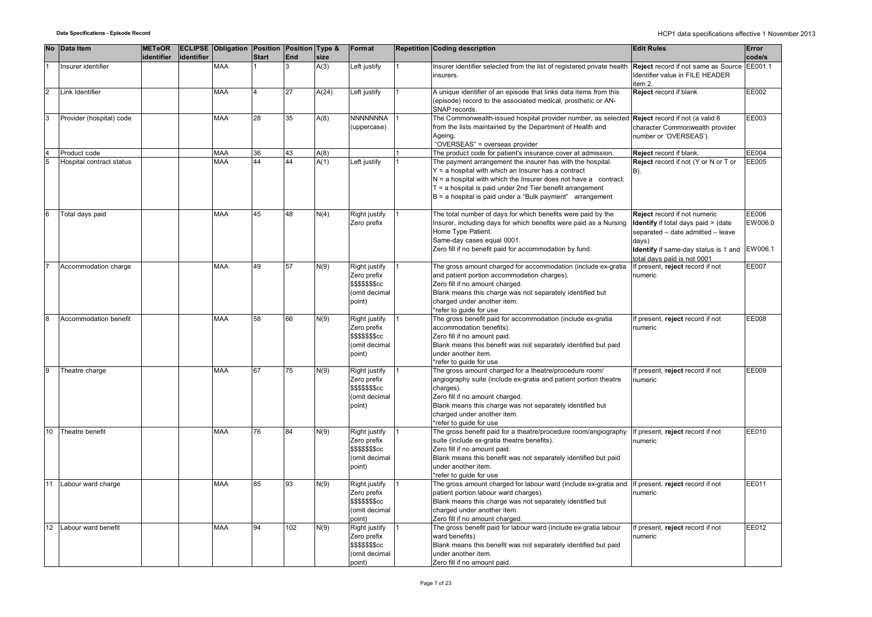|                | No Data Item             | <b>METeOR</b><br>identifier | identifier | <b>ECLIPSE Obligation Position Position Type &amp;</b> | <b>Start</b> | End | size  | Format                                                                             | <b>Repetition Coding description</b>                                                                                                                                                                                                                                                                                 | <b>Edit Rules</b>                                                                                                                                                                               | Error<br>code/s             |
|----------------|--------------------------|-----------------------------|------------|--------------------------------------------------------|--------------|-----|-------|------------------------------------------------------------------------------------|----------------------------------------------------------------------------------------------------------------------------------------------------------------------------------------------------------------------------------------------------------------------------------------------------------------------|-------------------------------------------------------------------------------------------------------------------------------------------------------------------------------------------------|-----------------------------|
|                | Insurer identifier       |                             |            | <b>MAA</b>                                             |              |     | A(3)  | Left justify                                                                       | Insurer identifier selected from the list of registered private health<br>insurers.                                                                                                                                                                                                                                  | Reject record if not same as Source EE001.1<br>Identifier value in FILE HEADER<br>item 2.                                                                                                       |                             |
| $\overline{2}$ | Link Identifier          |                             |            | <b>MAA</b>                                             |              | 27  | A(24) | Left justify                                                                       | A unique identifier of an episode that links data items from this<br>(episode) record to the associated medical, prosthetic or AN-<br>SNAP records.                                                                                                                                                                  | Reject record if blank                                                                                                                                                                          | EE002                       |
| 3              | Provider (hospital) code |                             |            | <b>MAA</b>                                             | 28           | 35  | A(8)  | <b>NNNNNNNA</b><br>(uppercase)                                                     | The Commonwealth-issued hospital provider number, as selected<br>from the lists maintained by the Department of Health and<br>Ageing.<br>"OVERSEAS" = overseas provider                                                                                                                                              | Reject record if not (a valid 8<br>character Commonwealth provider<br>number or 'OVERSEAS').                                                                                                    | EE003                       |
| $\overline{4}$ | Product code             |                             |            | <b>MAA</b>                                             | 36           | 43  | A(8)  |                                                                                    | The product code for patient's insurance cover at admission.                                                                                                                                                                                                                                                         | Reject record if blank.                                                                                                                                                                         | EE004                       |
| 5              | Hospital contract status |                             |            | <b>MAA</b>                                             | 44           | 44  | A(1)  | Left justify                                                                       | The payment arrangement the insurer has with the hospital.<br>$Y = a$ hospital with which an Insurer has a contract<br>$N = a$ hospital with which the Insurer does not have a contract.<br>$T = a$ hospital is paid under 2nd Tier benefit arrangement<br>B = a hospital is paid under a "Bulk payment" arrangement | Reject record if not (Y or N or T or<br>B).                                                                                                                                                     | EE005                       |
| 6              | Total days paid          |                             |            | <b>MAA</b>                                             | 45           | 48  | N(4)  | Right justify<br>Zero prefix                                                       | The total number of days for which benefits were paid by the<br>Insurer, including days for which benefits were paid as a Nursing<br>Home Type Patient.<br>Same-day cases equal 0001.<br>Zero fill if no benefit paid for accommodation by fund.                                                                     | Reject record if not numeric<br><b>Identify</b> if total days paid > (date<br>separated - date admitted - leave<br>days)<br>Identify if same-day status is 1 and<br>total davs paid is not 0001 | EE006<br>EW006.0<br>EW006.1 |
|                | Accommodation charge     |                             |            | <b>MAA</b>                                             | 49           | 57  | N(9)  | Right justify<br>Zero prefix<br>\$\$\$\$\$\$\$cc<br>(omit decimal<br>point)        | The gross amount charged for accommodation (include ex-gratia<br>and patient portion accommodation charges).<br>Zero fill if no amount charged.<br>Blank means this charge was not separately identified but<br>charged under another item.<br>*refer to guide for use                                               | If present, reject record if not<br>numeric                                                                                                                                                     | EE007                       |
| $\overline{8}$ | Accommodation benefit    |                             |            | <b>MAA</b>                                             | 58           | 66  | N(9)  | Right justify<br>Zero prefix<br><b>\$\$\$\$\$\$\$cc</b><br>(omit decimal<br>point) | The gross benefit paid for accommodation (include ex-gratia<br>accommodation benefits).<br>Zero fill if no amount paid.<br>Blank means this benefit was not separately identified but paid<br>under another item.<br>*refer to quide for use                                                                         | If present, reject record if not<br>numeric                                                                                                                                                     | <b>EE008</b>                |
| 9              | Theatre charge           |                             |            | <b>MAA</b>                                             | 67           | 75  | N(9)  | Right justify<br>Zero prefix<br><b>\$\$\$\$\$\$\$cc</b><br>(omit decimal<br>point) | The gross amount charged for a theatre/procedure room/<br>angiography suite (include ex-gratia and patient portion theatre<br>charges).<br>Zero fill if no amount charged.<br>Blank means this charge was not separately identified but<br>charged under another item.<br>*refer to guide for use                    | If present, reject record if not<br>numeric                                                                                                                                                     | EE009                       |
| 10             | Theatre benefit          |                             |            | <b>MAA</b>                                             | 76           | 84  | N(9)  | Right justify<br>Zero prefix<br><b>\$\$\$\$\$\$\$cc</b><br>(omit decimal<br>point) | The gross benefit paid for a theatre/procedure room/angiography<br>suite (include ex-gratia theatre benefits).<br>Zero fill if no amount paid.<br>Blank means this benefit was not separately identified but paid<br>under another item.<br>*refer to quide for use                                                  | If present, reject record if not<br>numeric                                                                                                                                                     | EE010                       |
| 11             | Labour ward charge       |                             |            | <b>MAA</b>                                             | 85           | 93  | N(9)  | Right justify<br>Zero prefix<br><b>\$\$\$\$\$\$\$cc</b><br>(omit decimal<br>point) | The gross amount charged for labour ward (include ex-gratia and<br>patient portion labour ward charges).<br>Blank means this charge was not separately identified but<br>charged under another item.<br>Zero fill if no amount charged.                                                                              | If present, reject record if not<br>numeric                                                                                                                                                     | EE011                       |
| 12             | Labour ward benefit      |                             |            | <b>MAA</b>                                             | 94           | 102 | N(9)  | Right justify<br>Zero prefix<br><b>\$\$\$\$\$\$\$cc</b><br>(omit decimal<br>point) | The gross benefit paid for labour ward (include ex-gratia labour<br>ward benefits)<br>Blank means this benefit was not separately identified but paid<br>under another item.<br>Zero fill if no amount paid.                                                                                                         | If present, reject record if not<br>numeric                                                                                                                                                     | EE012                       |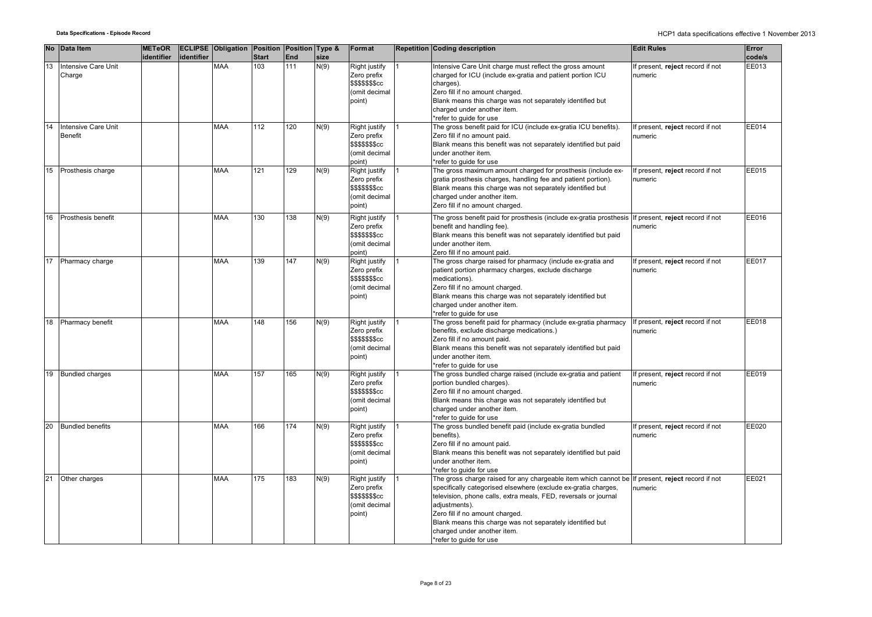|    | No Data Item                   | <b>METeOR</b> |            | <b>ECLIPSE Obligation Position Position Type &amp;</b> |              |            |      | Format                                                                             | <b>Repetition Coding description</b>                                                                                                                                                                                                                                                                                                                                            | <b>Edit Rules</b>                           | Error  |
|----|--------------------------------|---------------|------------|--------------------------------------------------------|--------------|------------|------|------------------------------------------------------------------------------------|---------------------------------------------------------------------------------------------------------------------------------------------------------------------------------------------------------------------------------------------------------------------------------------------------------------------------------------------------------------------------------|---------------------------------------------|--------|
|    |                                | identifier    | identifier |                                                        | <b>Start</b> | <b>End</b> | size |                                                                                    |                                                                                                                                                                                                                                                                                                                                                                                 |                                             | code/s |
| 13 | Intensive Care Unit<br>Charge  |               |            | <b>MAA</b>                                             | 103          | 111        | N(9) | Right justify<br>Zero prefix<br>\$\$\$\$\$\$\$cc<br>(omit decimal<br>point)        | Intensive Care Unit charge must reflect the gross amount<br>charged for ICU (include ex-gratia and patient portion ICU<br>charges).<br>Zero fill if no amount charged.<br>Blank means this charge was not separately identified but<br>charged under another item.<br>*refer to guide for use                                                                                   | If present, reject record if not<br>numeric | EE013  |
| 14 | Intensive Care Unit<br>Benefit |               |            | <b>MAA</b>                                             | 112          | 120        | N(9) | Right justify<br>Zero prefix<br>\$\$\$\$\$\$\$cc<br>(omit decimal<br>point)        | The gross benefit paid for ICU (include ex-gratia ICU benefits).<br>Zero fill if no amount paid.<br>Blank means this benefit was not separately identified but paid<br>under another item.<br>*refer to guide for use                                                                                                                                                           | If present, reject record if not<br>numeric | EE014  |
| 15 | Prosthesis charge              |               |            | <b>MAA</b>                                             | 121          | 129        | N(9) | Right justify<br>Zero prefix<br>\$\$\$\$\$\$\$cc<br>(omit decimal<br>point)        | The gross maximum amount charged for prosthesis (include ex-<br>gratia prosthesis charges, handling fee and patient portion).<br>Blank means this charge was not separately identified but<br>charged under another item.<br>Zero fill if no amount charged.                                                                                                                    | If present, reject record if not<br>numeric | EE015  |
| 16 | Prosthesis benefit             |               |            | <b>MAA</b>                                             | 130          | 138        | N(9) | Right justify<br>Zero prefix<br>\$\$\$\$\$\$\$cc<br>(omit decimal<br>point)        | The gross benefit paid for prosthesis (include ex-gratia prosthesis<br>benefit and handling fee).<br>Blank means this benefit was not separately identified but paid<br>under another item.<br>Zero fill if no amount paid.                                                                                                                                                     | If present, reject record if not<br>numeric | EE016  |
| 17 | Pharmacy charge                |               |            | <b>MAA</b>                                             | 139          | 147        | N(9) | Right justify<br>Zero prefix<br>\$\$\$\$\$\$\$cc<br>(omit decimal<br>point)        | The gross charge raised for pharmacy (include ex-gratia and<br>patient portion pharmacy charges, exclude discharge<br>medications).<br>Zero fill if no amount charged.<br>Blank means this charge was not separately identified but<br>charged under another item.<br>*refer to quide for use                                                                                   | If present, reject record if not<br>numeric | EE017  |
| 18 | Pharmacy benefit               |               |            | <b>MAA</b>                                             | 148          | 156        | N(9) | Right justify<br>Zero prefix<br><b>\$\$\$\$\$\$\$cc</b><br>(omit decimal<br>point) | The gross benefit paid for pharmacy (include ex-gratia pharmacy<br>benefits, exclude discharge medications.)<br>Zero fill if no amount paid.<br>Blank means this benefit was not separately identified but paid<br>under another item.<br>*refer to guide for use                                                                                                               | If present, reject record if not<br>numeric | EE018  |
| 19 | <b>Bundled charges</b>         |               |            | <b>MAA</b>                                             | 157          | 165        | N(9) | Right justify<br>Zero prefix<br>\$\$\$\$\$\$\$cc<br>(omit decimal<br>point)        | The gross bundled charge raised (include ex-gratia and patient<br>portion bundled charges).<br>Zero fill if no amount charged.<br>Blank means this charge was not separately identified but<br>charged under another item.<br>refer to quide for use                                                                                                                            | If present, reject record if not<br>numeric | EE019  |
| 20 | <b>Bundled benefits</b>        |               |            | MAA                                                    | 166          | 174        | N(9) | Right justify<br>Zero prefix<br>\$\$\$\$\$\$\$cc<br>(omit decimal<br>point)        | The gross bundled benefit paid (include ex-gratia bundled<br>benefits).<br>Zero fill if no amount paid.<br>Blank means this benefit was not separately identified but paid<br>under another item.<br>*refer to guide for use                                                                                                                                                    | If present, reject record if not<br>numeric | EE020  |
| 21 | Other charges                  |               |            | <b>MAA</b>                                             | 175          | 183        | N(9) | Right justify<br>Zero prefix<br><b>\$\$\$\$\$\$\$cc</b><br>(omit decimal<br>point) | The gross charge raised for any chargeable item which cannot be<br>specifically categorised elsewhere (exclude ex-gratia charges,<br>television, phone calls, extra meals, FED, reversals or journal<br>adjustments).<br>Zero fill if no amount charged.<br>Blank means this charge was not separately identified but<br>charged under another item.<br>*refer to guide for use | If present, reject record if not<br>numeric | EE021  |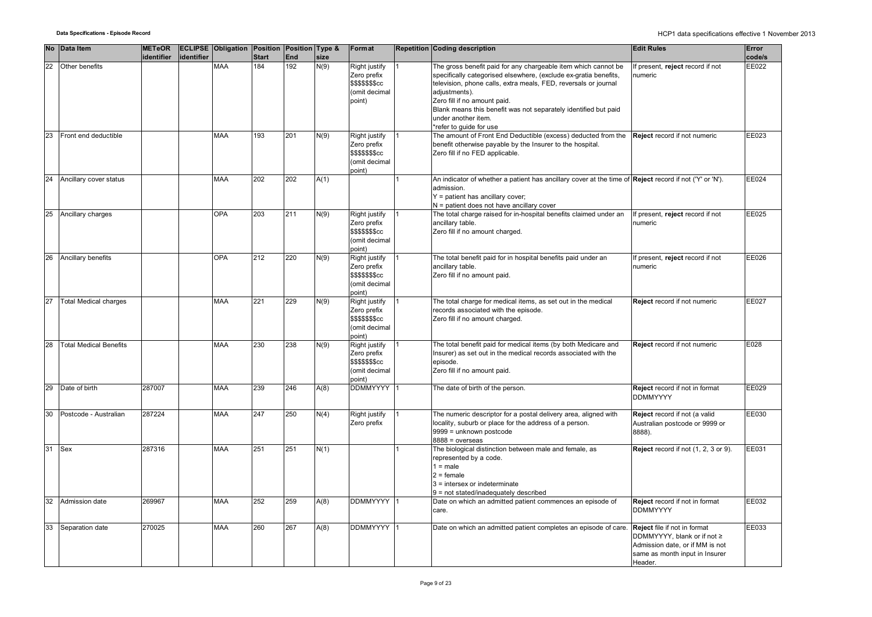|    | No Data Item                  | <b>METeOR</b> |            | <b>ECLIPSE Obligation Position Position Type &amp;</b> |              |     |      | Format                                                                             | <b>Repetition Coding description</b>                                                                                                                                                                                                                                                                                                             | <b>Edit Rules</b>                                                                                                                                  | Error  |
|----|-------------------------------|---------------|------------|--------------------------------------------------------|--------------|-----|------|------------------------------------------------------------------------------------|--------------------------------------------------------------------------------------------------------------------------------------------------------------------------------------------------------------------------------------------------------------------------------------------------------------------------------------------------|----------------------------------------------------------------------------------------------------------------------------------------------------|--------|
|    |                               | identifier    | identifier |                                                        | <b>Start</b> | End | size |                                                                                    |                                                                                                                                                                                                                                                                                                                                                  |                                                                                                                                                    | code/s |
| 22 | Other benefits                |               |            | <b>MAA</b>                                             | 184          | 192 | N(9) | Right justify<br>Zero prefix<br>\$\$\$\$\$\$\$cc<br>(omit decimal<br>point)        | The gross benefit paid for any chargeable item which cannot be<br>specifically categorised elsewhere, (exclude ex-gratia benefits,<br>television, phone calls, extra meals, FED, reversals or journal<br>adjustments).<br>Zero fill if no amount paid.<br>Blank means this benefit was not separately identified but paid<br>under another item. | If present, reject record if not<br>numeric                                                                                                        | EE022  |
| 23 | Front end deductible          |               |            | <b>MAA</b>                                             | 193          | 201 | N(9) | Right justify<br>Zero prefix<br>\$\$\$\$\$\$\$cc<br>(omit decimal<br>point)        | *refer to quide for use<br>The amount of Front End Deductible (excess) deducted from the<br>benefit otherwise payable by the Insurer to the hospital.<br>Zero fill if no FED applicable.                                                                                                                                                         | <b>Reject</b> record if not numeric                                                                                                                | EE023  |
| 24 | Ancillary cover status        |               |            | <b>MAA</b>                                             | 202          | 202 | A(1) |                                                                                    | An indicator of whether a patient has ancillary cover at the time of <b>Reject</b> record if not ('Y' or 'N').<br>admission.<br>$Y =$ patient has ancillary cover;<br>N = patient does not have ancillary cover                                                                                                                                  |                                                                                                                                                    | EE024  |
| 25 | Ancillary charges             |               |            | <b>OPA</b>                                             | 203          | 211 | N(9) | Right justify<br>Zero prefix<br>\$\$\$\$\$\$\$cc<br>(omit decimal<br>point)        | The total charge raised for in-hospital benefits claimed under an<br>ancillary table.<br>Zero fill if no amount charged.                                                                                                                                                                                                                         | If present, reject record if not<br>numeric                                                                                                        | EE025  |
| 26 | Ancillary benefits            |               |            | <b>OPA</b>                                             | 212          | 220 | N(9) | Right justify<br>Zero prefix<br><b>\$\$\$\$\$\$\$cc</b><br>(omit decimal<br>point) | The total benefit paid for in hospital benefits paid under an<br>ancillary table.<br>Zero fill if no amount paid.                                                                                                                                                                                                                                | If present, reject record if not<br>numeric                                                                                                        | EE026  |
| 27 | <b>Total Medical charges</b>  |               |            | <b>MAA</b>                                             | 221          | 229 | N(9) | Right justify<br>Zero prefix<br>\$\$\$\$\$\$\$cc<br>(omit decimal<br>point)        | The total charge for medical items, as set out in the medical<br>records associated with the episode.<br>Zero fill if no amount charged.                                                                                                                                                                                                         | Reject record if not numeric                                                                                                                       | EE027  |
| 28 | <b>Total Medical Benefits</b> |               |            | <b>MAA</b>                                             | 230          | 238 | N(9) | Right justify<br>Zero prefix<br><b>\$\$\$\$\$\$\$cc</b><br>(omit decimal<br>point) | The total benefit paid for medical items (by both Medicare and<br>Insurer) as set out in the medical records associated with the<br>episode.<br>Zero fill if no amount paid.                                                                                                                                                                     | Reject record if not numeric                                                                                                                       | E028   |
| 29 | Date of birth                 | 287007        |            | <b>MAA</b>                                             | 239          | 246 | A(8) | DDMMYYYY                                                                           | The date of birth of the person.                                                                                                                                                                                                                                                                                                                 | Reject record if not in format<br><b>DDMMYYYY</b>                                                                                                  | EE029  |
| 30 | Postcode - Australian         | 287224        |            | <b>MAA</b>                                             | 247          | 250 | N(4) | Right justify<br>Zero prefix                                                       | The numeric descriptor for a postal delivery area, aligned with<br>locality, suburb or place for the address of a person.<br>9999 = unknown postcode<br>$8888 = 0$ verseas                                                                                                                                                                       | Reject record if not (a valid<br>Australian postcode or 9999 or<br>8888).                                                                          | EE030  |
| 31 | Sex                           | 287316        |            | <b>MAA</b>                                             | 251          | 251 | N(1) |                                                                                    | The biological distinction between male and female, as<br>represented by a code.<br>$1 = male$<br>$2 =$ female<br>3 = intersex or indeterminate<br>9 = not stated/inadequately described                                                                                                                                                         | Reject record if not (1, 2, 3 or 9).                                                                                                               | EE031  |
| 32 | Admission date                | 269967        |            | <b>MAA</b>                                             | 252          | 259 | A(8) | DDMMYYYY 1                                                                         | Date on which an admitted patient commences an episode of<br>care.                                                                                                                                                                                                                                                                               | Reject record if not in format<br><b>DDMMYYYY</b>                                                                                                  | EE032  |
| 33 | Separation date               | 270025        |            | <b>MAA</b>                                             | 260          | 267 | A(8) | DDMMYYYY 1                                                                         | Date on which an admitted patient completes an episode of care.                                                                                                                                                                                                                                                                                  | <b>Reject</b> file if not in format<br>DDMMYYYY, blank or if not ≥<br>Admission date, or if MM is not<br>same as month input in Insurer<br>Header. | EE033  |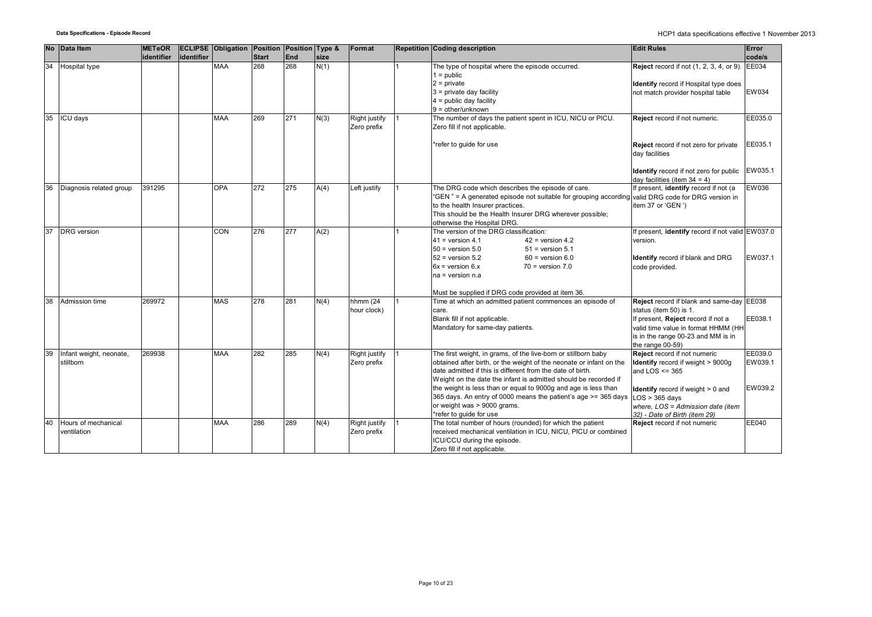| <b>No</b> | Data Item                            | <b>METeOR</b> |            | <b>ECLIPSE Obligation Position Position Type &amp;</b> |              |     |      | Format                       | <b>Repetition Coding description</b>                                                                                                                                                                                                                                                                                                                                                                                                                                 | <b>Edit Rules</b>                                                                                                                                                                                                      | Error                         |
|-----------|--------------------------------------|---------------|------------|--------------------------------------------------------|--------------|-----|------|------------------------------|----------------------------------------------------------------------------------------------------------------------------------------------------------------------------------------------------------------------------------------------------------------------------------------------------------------------------------------------------------------------------------------------------------------------------------------------------------------------|------------------------------------------------------------------------------------------------------------------------------------------------------------------------------------------------------------------------|-------------------------------|
|           |                                      | identifier    | identifier |                                                        | <b>Start</b> | End | size |                              |                                                                                                                                                                                                                                                                                                                                                                                                                                                                      |                                                                                                                                                                                                                        | code/s                        |
| 34        | Hospital type                        |               |            | <b>MAA</b>                                             | 268          | 268 | N(1) |                              | The type of hospital where the episode occurred.<br>$1 = \text{public}$<br>$2 =$ private<br>$3$ = private day facility<br>$4 =$ public day facility                                                                                                                                                                                                                                                                                                                  | <b>Reject</b> record if not (1, 2, 3, 4, or 9).<br>Identify record if Hospital type does<br>not match provider hospital table                                                                                          | EE034<br>EW034                |
| 35        | ICU days                             |               |            | <b>MAA</b>                                             | 269          | 271 | N(3) | Right justify<br>Zero prefix | $9 =$ other/unknown<br>The number of days the patient spent in ICU, NICU or PICU.<br>Zero fill if not applicable.                                                                                                                                                                                                                                                                                                                                                    | Reject record if not numeric.                                                                                                                                                                                          | EE035.0                       |
|           |                                      |               |            |                                                        |              |     |      |                              | *refer to guide for use                                                                                                                                                                                                                                                                                                                                                                                                                                              | Reject record if not zero for private<br>day facilities                                                                                                                                                                | EE035.1                       |
|           |                                      |               |            |                                                        |              |     |      |                              |                                                                                                                                                                                                                                                                                                                                                                                                                                                                      | Identify record if not zero for public<br>day facilities (item $34 = 4$ )                                                                                                                                              | EW035.1                       |
| 36        | Diagnosis related group              | 391295        |            | <b>OPA</b>                                             | 272          | 275 | A(4) | Left justify                 | The DRG code which describes the episode of care.<br>"GEN" = A generated episode not suitable for grouping according<br>to the health Insurer practices.<br>This should be the Health Insurer DRG wherever possible;<br>otherwise the Hospital DRG.                                                                                                                                                                                                                  | If present, identify record if not (a<br>valid DRG code for DRG version in<br>item 37 or 'GEN ')                                                                                                                       | <b>EW036</b>                  |
| 37        | <b>DRG</b> version                   |               |            | CON                                                    | 276          | 277 | A(2) |                              | The version of the DRG classification:<br>$41$ = version 4.1<br>$42$ = version 4.2<br>$50$ = version $5.0$<br>$51$ = version $5.1$<br>$52$ = version $5.2$<br>$60$ = version $6.0$<br>$6x = version 6.x$<br>$70$ = version $7.0$<br>$na = version n.a$                                                                                                                                                                                                               | If present, <b>identify</b> record if not valid EW037.0<br>version.<br><b>Identify</b> record if blank and DRG<br>code provided.                                                                                       | EW037.1                       |
|           |                                      |               |            |                                                        |              |     |      |                              | Must be supplied if DRG code provided at item 36.                                                                                                                                                                                                                                                                                                                                                                                                                    |                                                                                                                                                                                                                        |                               |
| 38        | Admission time                       | 269972        |            | <b>MAS</b>                                             | 278          | 281 | N(4) | hhmm (24<br>hour clock)      | Time at which an admitted patient commences an episode of<br>care.<br>Blank fill if not applicable.<br>Mandatory for same-day patients.                                                                                                                                                                                                                                                                                                                              | Reject record if blank and same-day EE038<br>status (item 50) is 1.<br>If present, Reject record if not a<br>valid time value in format HHMM (HH<br>is in the range 00-23 and MM is in<br>the range 00-59)             | EE038.1                       |
| 39        | Infant weight, neonate,<br>stillborn | 269938        |            | <b>MAA</b>                                             | 282          | 285 | N(4) | Right justify<br>Zero prefix | The first weight, in grams, of the live-born or stillborn baby<br>obtained after birth, or the weight of the neonate or infant on the<br>date admitted if this is different from the date of birth.<br>Weight on the date the infant is admitted should be recorded if<br>the weight is less than or equal to 9000g and age is less than<br>365 days. An entry of 0000 means the patient's age >= 365 days<br>or weight was > 9000 grams.<br>*refer to guide for use | Reject record if not numeric<br>Identify record if weight > 9000g<br>and $LOS \leq 365$<br>Identify record if weight > 0 and<br>$LOS > 365$ davs<br>where, LOS = Admission date (item<br>32) - Date of Birth (item 29) | EE039.0<br>EW039.1<br>EW039.2 |
| 40        | Hours of mechanical<br>ventilation   |               |            | <b>MAA</b>                                             | 286          | 289 | N(4) | Right justify<br>Zero prefix | The total number of hours (rounded) for which the patient<br>received mechanical ventilation in ICU, NICU, PICU or combined<br>ICU/CCU during the episode.<br>Zero fill if not applicable.                                                                                                                                                                                                                                                                           | Reject record if not numeric                                                                                                                                                                                           | EE040                         |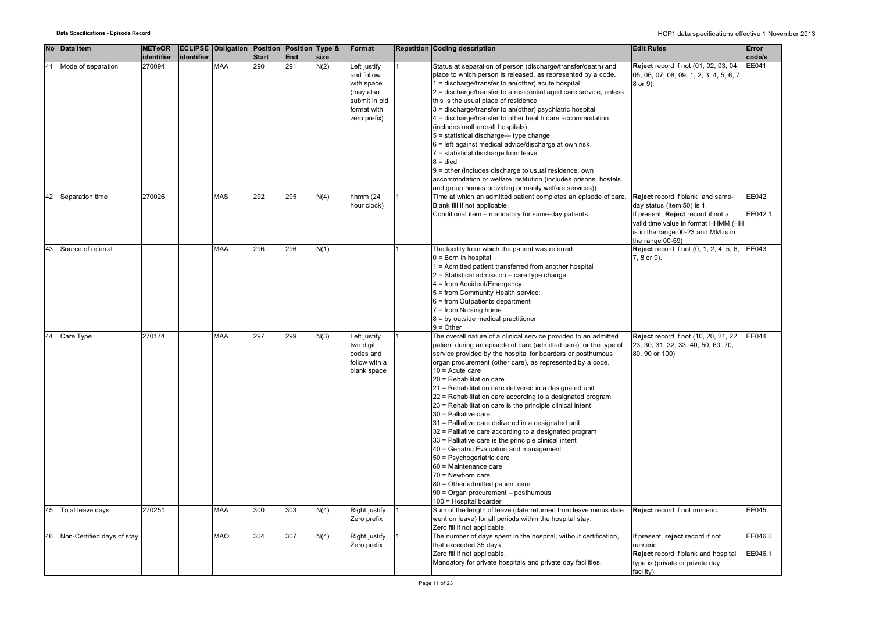|    | No Data Item               | <b>METeOR</b><br>identifier | identifier | <b>ECLIPSE Obligation Position Position Type &amp;</b> | <b>Start</b> | End | size | Format                                                                                                | Repetition Coding description                                                                                                                                                                                                                                                                                                                                                                                                                                                                                                                                                                                                                                                                                                                                                                                                                                                                                                          | <b>Edit Rules</b>                                                                                                                                                                                        | Error<br>code/s    |
|----|----------------------------|-----------------------------|------------|--------------------------------------------------------|--------------|-----|------|-------------------------------------------------------------------------------------------------------|----------------------------------------------------------------------------------------------------------------------------------------------------------------------------------------------------------------------------------------------------------------------------------------------------------------------------------------------------------------------------------------------------------------------------------------------------------------------------------------------------------------------------------------------------------------------------------------------------------------------------------------------------------------------------------------------------------------------------------------------------------------------------------------------------------------------------------------------------------------------------------------------------------------------------------------|----------------------------------------------------------------------------------------------------------------------------------------------------------------------------------------------------------|--------------------|
| 41 | Mode of separation         | 270094                      |            | <b>MAA</b>                                             | 290          | 291 | N(2) | Left justify<br>and follow<br>with space<br>(may also<br>submit in old<br>format with<br>zero prefix) | Status at separation of person (discharge/transfer/death) and<br>place to which person is released, as represented by a code.<br>1 = discharge/transfer to an(other) acute hospital<br>2 = discharge/transfer to a residential aged care service, unless<br>this is the usual place of residence<br>3 = discharge/transfer to an(other) psychiatric hospital<br>4 = discharge/transfer to other health care accommodation<br>(includes mothercraft hospitals)<br>$5 =$ statistical discharge— type change<br>6 = left against medical advice/discharge at own risk<br>7 = statistical discharge from leave<br>$8 =$ died<br>9 = other (includes discharge to usual residence, own<br>accommodation or welfare institution (includes prisons, hostels<br>and group homes providing primarily welfare services))                                                                                                                         | Reject record if not (01, 02, 03, 04,<br>05, 06, 07, 08, 09, 1, 2, 3, 4, 5, 6, 7,<br>8 or 9).                                                                                                            | EE041              |
| 42 | Separation time            | 270026                      |            | <b>MAS</b>                                             | 292          | 295 | N(4) | hhmm (24<br>hour clock)                                                                               | Time at which an admitted patient completes an episode of care.<br>Blank fill if not applicable.<br>Conditional item - mandatory for same-day patients                                                                                                                                                                                                                                                                                                                                                                                                                                                                                                                                                                                                                                                                                                                                                                                 | Reject record if blank and same-<br>day status (item 50) is 1.<br>If present, Reject record if not a<br>valid time value in format HHMM (HH<br>is in the range 00-23 and MM is in<br>the range $00-59$ ) | EE042<br>EE042.1   |
| 43 | Source of referral         |                             |            | <b>MAA</b>                                             | 296          | 296 | N(1) |                                                                                                       | The facility from which the patient was referred:<br>$0 = Born$ in hospital<br>1 = Admitted patient transferred from another hospital<br>$2$ = Statistical admission – care type change<br>$4 = from Accident/Emergency$<br>5 = from Community Health service;<br>6 = from Outpatients department<br>$7 = from Nursing home$<br>$8 = by outside medical practitioner$<br>$9 =$ Other                                                                                                                                                                                                                                                                                                                                                                                                                                                                                                                                                   | <b>Reject</b> record if not (0, 1, 2, 4, 5, 6,<br>7, 8 or 9).                                                                                                                                            | EE043              |
| 44 | Care Type                  | 270174                      |            | <b>MAA</b>                                             | 297          | 299 | N(3) | Left justify<br>two digit<br>codes and<br>follow with a<br>blank space                                | The overall nature of a clinical service provided to an admitted<br>patient during an episode of care (admitted care), or the type of<br>service provided by the hospital for boarders or posthumous<br>organ procurement (other care), as represented by a code.<br>$10 =$ Acute care<br>20 = Rehabilitation care<br>21 = Rehabilitation care delivered in a designated unit<br>22 = Rehabilitation care according to a designated program<br>23 = Rehabilitation care is the principle clinical intent<br>30 = Palliative care<br>31 = Palliative care delivered in a designated unit<br>32 = Palliative care according to a designated program<br>33 = Palliative care is the principle clinical intent<br>40 = Geriatric Evaluation and management<br>50 = Psychogeriatric care<br>60 = Maintenance care<br>70 = Newborn care<br>80 = Other admitted patient care<br>90 = Organ procurement - posthumous<br>100 = Hospital boarder | Reject record if not (10, 20, 21, 22,<br>23, 30, 31, 32, 33, 40, 50, 60, 70,<br>80, 90 or 100)                                                                                                           | <b>EE044</b>       |
| 45 | Total leave days           | 270251                      |            | <b>MAA</b>                                             | 300          | 303 | N(4) | Right justify<br>Zero prefix                                                                          | Sum of the length of leave (date returned from leave minus date<br>went on leave) for all periods within the hospital stay.<br>Zero fill if not applicable.                                                                                                                                                                                                                                                                                                                                                                                                                                                                                                                                                                                                                                                                                                                                                                            | Reject record if not numeric.                                                                                                                                                                            | <b>EE045</b>       |
| 46 | Non-Certified days of stay |                             |            | MAO                                                    | 304          | 307 | N(4) | Right justify<br>Zero prefix                                                                          | The number of days spent in the hospital, without certification,<br>that exceeded 35 days.<br>Zero fill if not applicable.<br>Mandatory for private hospitals and private day facilities.                                                                                                                                                                                                                                                                                                                                                                                                                                                                                                                                                                                                                                                                                                                                              | f present, reject record if not<br>numeric.<br>Reject record if blank and hospital<br>type is (private or private day<br>facility).                                                                      | EE046.0<br>EE046.1 |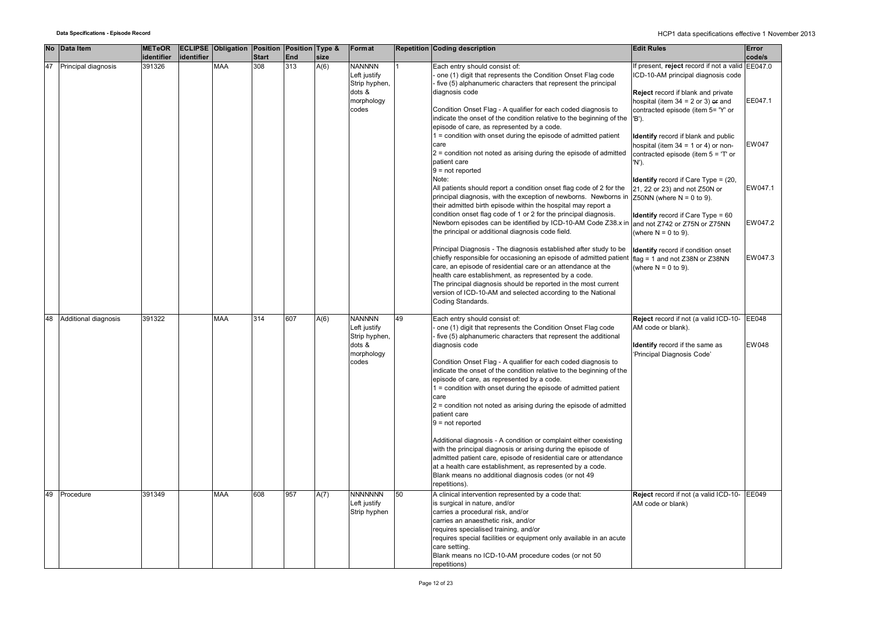|    | No Data Item           | <b>METeOR</b> |            | <b>ECLIPSE Obligation Position Position Type &amp;</b> |              |     |      | Format                        |    | <b>Repetition Coding description</b>                                                                                          | <b>Edit Rules</b>                                            | Error   |
|----|------------------------|---------------|------------|--------------------------------------------------------|--------------|-----|------|-------------------------------|----|-------------------------------------------------------------------------------------------------------------------------------|--------------------------------------------------------------|---------|
|    |                        | identifier    | identifier |                                                        | <b>Start</b> | End | size |                               |    |                                                                                                                               |                                                              | code/s  |
|    | 47 Principal diagnosis | 391326        |            | MAA                                                    | 308          | 313 | A(6) | <b>NANNNN</b>                 |    | Each entry should consist of:                                                                                                 | f present, reject record if not a valid EE047.0              |         |
|    |                        |               |            |                                                        |              |     |      | Left justify                  |    | one (1) digit that represents the Condition Onset Flag code                                                                   | ICD-10-AM principal diagnosis code                           |         |
|    |                        |               |            |                                                        |              |     |      | Strip hyphen,                 |    | five (5) alphanumeric characters that represent the principal                                                                 |                                                              |         |
|    |                        |               |            |                                                        |              |     |      | dots &                        |    | diagnosis code                                                                                                                | Reject record if blank and private                           |         |
|    |                        |               |            |                                                        |              |     |      | morphology                    |    |                                                                                                                               | hospital (item $34 = 2$ or 3) or and                         | EE047.1 |
|    |                        |               |            |                                                        |              |     |      | codes                         |    | Condition Onset Flag - A qualifier for each coded diagnosis to                                                                | contracted episode (item 5= 'Y' or                           |         |
|    |                        |               |            |                                                        |              |     |      |                               |    | indicate the onset of the condition relative to the beginning of the                                                          | 'B').                                                        |         |
|    |                        |               |            |                                                        |              |     |      |                               |    | episode of care, as represented by a code.                                                                                    |                                                              |         |
|    |                        |               |            |                                                        |              |     |      |                               |    | 1 = condition with onset during the episode of admitted patient                                                               | Identify record if blank and public                          |         |
|    |                        |               |            |                                                        |              |     |      |                               |    | care                                                                                                                          | hospital (item $34 = 1$ or 4) or non-                        | EW047   |
|    |                        |               |            |                                                        |              |     |      |                               |    | $2$ = condition not noted as arising during the episode of admitted                                                           | contracted episode (item $5 = 'T'$ or                        |         |
|    |                        |               |            |                                                        |              |     |      |                               |    | patient care                                                                                                                  | 'N').                                                        |         |
|    |                        |               |            |                                                        |              |     |      |                               |    | $9 = not reported$<br>Note:                                                                                                   |                                                              |         |
|    |                        |               |            |                                                        |              |     |      |                               |    | All patients should report a condition onset flag code of 2 for the                                                           | <b>Identify</b> record if Care Type = $(20, 10)$             | EW047.1 |
|    |                        |               |            |                                                        |              |     |      |                               |    | principal diagnosis, with the exception of newborns. Newborns in                                                              | 21, 22 or 23) and not Z50N or<br>Z50NN (where $N = 0$ to 9). |         |
|    |                        |               |            |                                                        |              |     |      |                               |    | their admitted birth episode within the hospital may report a                                                                 |                                                              |         |
|    |                        |               |            |                                                        |              |     |      |                               |    | condition onset flag code of 1 or 2 for the principal diagnosis.                                                              | <b>Identify</b> record if Care Type = 60                     |         |
|    |                        |               |            |                                                        |              |     |      |                               |    | Newborn episodes can be identified by ICD-10-AM Code Z38.x in and not Z742 or Z75N or Z75NN                                   |                                                              | EW047.2 |
|    |                        |               |            |                                                        |              |     |      |                               |    | the principal or additional diagnosis code field.                                                                             | (where $N = 0$ to 9).                                        |         |
|    |                        |               |            |                                                        |              |     |      |                               |    |                                                                                                                               |                                                              |         |
|    |                        |               |            |                                                        |              |     |      |                               |    | Principal Diagnosis - The diagnosis established after study to be                                                             | Identify record if condition onset                           |         |
|    |                        |               |            |                                                        |              |     |      |                               |    | chiefly responsible for occasioning an episode of admitted patient                                                            | flag = 1 and not Z38N or Z38NN                               | EW047.3 |
|    |                        |               |            |                                                        |              |     |      |                               |    | care, an episode of residential care or an attendance at the                                                                  | (where $N = 0$ to 9).                                        |         |
|    |                        |               |            |                                                        |              |     |      |                               |    | health care establishment, as represented by a code.                                                                          |                                                              |         |
|    |                        |               |            |                                                        |              |     |      |                               |    | The principal diagnosis should be reported in the most current                                                                |                                                              |         |
|    |                        |               |            |                                                        |              |     |      |                               |    | version of ICD-10-AM and selected according to the National                                                                   |                                                              |         |
|    |                        |               |            |                                                        |              |     |      |                               |    | Coding Standards.                                                                                                             |                                                              |         |
|    |                        |               |            |                                                        |              |     |      |                               |    |                                                                                                                               |                                                              |         |
| 48 | Additional diagnosis   | 391322        |            | <b>MAA</b>                                             | 314          | 607 | A(6) | <b>NANNNN</b>                 | 49 | Each entry should consist of:                                                                                                 | Reject record if not (a valid ICD-10- EE048                  |         |
|    |                        |               |            |                                                        |              |     |      | Left justify<br>Strip hyphen, |    | one (1) digit that represents the Condition Onset Flag code<br>five (5) alphanumeric characters that represent the additional | AM code or blank).                                           |         |
|    |                        |               |            |                                                        |              |     |      | dots &                        |    | diagnosis code                                                                                                                | Identify record if the same as                               | EW048   |
|    |                        |               |            |                                                        |              |     |      | morphology                    |    |                                                                                                                               | 'Principal Diagnosis Code'                                   |         |
|    |                        |               |            |                                                        |              |     |      | codes                         |    | Condition Onset Flag - A qualifier for each coded diagnosis to                                                                |                                                              |         |
|    |                        |               |            |                                                        |              |     |      |                               |    | indicate the onset of the condition relative to the beginning of the                                                          |                                                              |         |
|    |                        |               |            |                                                        |              |     |      |                               |    | episode of care, as represented by a code.                                                                                    |                                                              |         |
|    |                        |               |            |                                                        |              |     |      |                               |    | 1 = condition with onset during the episode of admitted patient                                                               |                                                              |         |
|    |                        |               |            |                                                        |              |     |      |                               |    | care                                                                                                                          |                                                              |         |
|    |                        |               |            |                                                        |              |     |      |                               |    | $2$ = condition not noted as arising during the episode of admitted                                                           |                                                              |         |
|    |                        |               |            |                                                        |              |     |      |                               |    | patient care                                                                                                                  |                                                              |         |
|    |                        |               |            |                                                        |              |     |      |                               |    | $9 = not reported$                                                                                                            |                                                              |         |
|    |                        |               |            |                                                        |              |     |      |                               |    |                                                                                                                               |                                                              |         |
|    |                        |               |            |                                                        |              |     |      |                               |    | Additional diagnosis - A condition or complaint either coexisting                                                             |                                                              |         |
|    |                        |               |            |                                                        |              |     |      |                               |    | with the principal diagnosis or arising during the episode of                                                                 |                                                              |         |
|    |                        |               |            |                                                        |              |     |      |                               |    | admitted patient care, episode of residential care or attendance                                                              |                                                              |         |
|    |                        |               |            |                                                        |              |     |      |                               |    | at a health care establishment, as represented by a code.                                                                     |                                                              |         |
|    |                        |               |            |                                                        |              |     |      |                               |    | Blank means no additional diagnosis codes (or not 49<br>repetitions).                                                         |                                                              |         |
| 49 | Procedure              | 391349        |            | MAA                                                    | 608          | 957 |      | <b>NNNNNNN</b>                | 50 | A clinical intervention represented by a code that:                                                                           | Reject record if not (a valid ICD-10-                        | EE049   |
|    |                        |               |            |                                                        |              |     | A(7) | Left justify                  |    | is surgical in nature, and/or                                                                                                 | AM code or blank)                                            |         |
|    |                        |               |            |                                                        |              |     |      | Strip hyphen                  |    | carries a procedural risk, and/or                                                                                             |                                                              |         |
|    |                        |               |            |                                                        |              |     |      |                               |    | carries an anaesthetic risk, and/or                                                                                           |                                                              |         |
|    |                        |               |            |                                                        |              |     |      |                               |    | requires specialised training, and/or                                                                                         |                                                              |         |
|    |                        |               |            |                                                        |              |     |      |                               |    | requires special facilities or equipment only available in an acute                                                           |                                                              |         |
|    |                        |               |            |                                                        |              |     |      |                               |    | care setting.                                                                                                                 |                                                              |         |
|    |                        |               |            |                                                        |              |     |      |                               |    | Blank means no ICD-10-AM procedure codes (or not 50                                                                           |                                                              |         |
|    |                        |               |            |                                                        |              |     |      |                               |    | repetitions)                                                                                                                  |                                                              |         |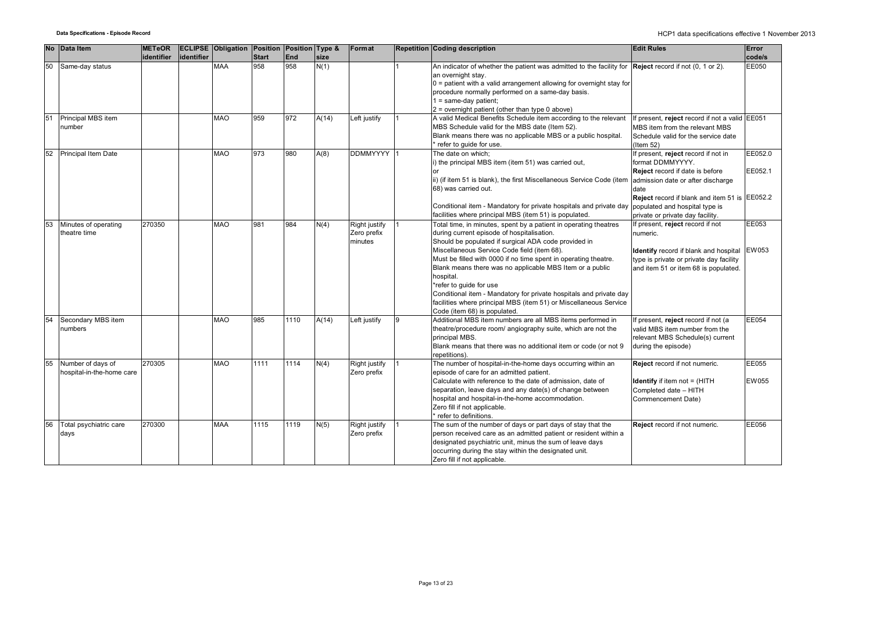|    | No Data Item                                   | <b>METeOR</b><br>identifier | identifier | <b>ECLIPSE Obligation Position Position Type &amp;</b> | <b>Start</b> | End  | size  | Format                                  |   | <b>Repetition Coding description</b>                                                                                                                                                                                                                                                                                                                                                                                                                                                                                                                                    | <b>Edit Rules</b>                                                                                                                                                                                                                   | Error<br>code/s       |
|----|------------------------------------------------|-----------------------------|------------|--------------------------------------------------------|--------------|------|-------|-----------------------------------------|---|-------------------------------------------------------------------------------------------------------------------------------------------------------------------------------------------------------------------------------------------------------------------------------------------------------------------------------------------------------------------------------------------------------------------------------------------------------------------------------------------------------------------------------------------------------------------------|-------------------------------------------------------------------------------------------------------------------------------------------------------------------------------------------------------------------------------------|-----------------------|
| 50 | Same-day status                                |                             |            | <b>MAA</b>                                             | 958          | 958  | N(1)  |                                         |   | An indicator of whether the patient was admitted to the facility for $\left  \text{Reject record if not } (0, 1 \text{ or } 2) \right $ .<br>an overnight stay.<br>$0$ = patient with a valid arrangement allowing for overnight stay for<br>procedure normally performed on a same-day basis.<br>$1 = same-day patient;$<br>2 = overnight patient (other than type 0 above)                                                                                                                                                                                            |                                                                                                                                                                                                                                     | EE050                 |
| 51 | Principal MBS item<br>number                   |                             |            | <b>MAO</b>                                             | 959          | 972  | A(14) | Left justify                            |   | A valid Medical Benefits Schedule item according to the relevant<br>MBS Schedule valid for the MBS date (Item 52).<br>Blank means there was no applicable MBS or a public hospital.<br>refer to guide for use.                                                                                                                                                                                                                                                                                                                                                          | If present, reject record if not a valid EE051<br>MBS item from the relevant MBS<br>Schedule valid for the service date<br>$($ ltem 52 $)$                                                                                          |                       |
| 52 | Principal Item Date                            |                             |            | <b>MAO</b>                                             | 973          | 980  | A(8)  | DDMMYYYY 1                              |   | The date on which;<br>i) the principal MBS item (item 51) was carried out,<br>ii) (if item 51 is blank), the first Miscellaneous Service Code (item<br>68) was carried out.<br>Conditional item - Mandatory for private hospitals and private day populated and hospital type is<br>facilities where principal MBS (item 51) is populated.                                                                                                                                                                                                                              | If present, reject record if not in<br>format DDMMYYYY.<br><b>Reject</b> record if date is before<br>admission date or after discharge<br>date<br>Reject record if blank and item 51 is EE052.2<br>private or private day facility. | EE052.0<br>EE052.1    |
|    | Minutes of operating<br>theatre time           | 270350                      |            | <b>MAO</b>                                             | 981          | 984  | N(4)  | Right justify<br>Zero prefix<br>minutes |   | Total time, in minutes, spent by a patient in operating theatres<br>during current episode of hospitalisation.<br>Should be populated if surgical ADA code provided in<br>Miscellaneous Service Code field (item 68).<br>Must be filled with 0000 if no time spent in operating theatre.<br>Blank means there was no applicable MBS Item or a public<br>hospital.<br>*refer to guide for use<br>Conditional item - Mandatory for private hospitals and private day<br>facilities where principal MBS (item 51) or Miscellaneous Service<br>Code (item 68) is populated. | If present, reject record if not<br>numeric.<br>Identify record if blank and hospital<br>type is private or private day facility<br>and item 51 or item 68 is populated.                                                            | EE053<br><b>EW053</b> |
| 54 | Secondary MBS item<br>numbers                  |                             |            | <b>MAO</b>                                             | 985          | 1110 | A(14) | Left justify                            | 9 | Additional MBS item numbers are all MBS items performed in<br>theatre/procedure room/ angiography suite, which are not the<br>principal MBS.<br>Blank means that there was no additional item or code (or not 9<br>repetitions).                                                                                                                                                                                                                                                                                                                                        | If present, reject record if not (a<br>valid MBS item number from the<br>relevant MBS Schedule(s) current<br>during the episode)                                                                                                    | EE054                 |
| 55 | Number of days of<br>hospital-in-the-home care | 270305                      |            | <b>MAO</b>                                             | 1111         | 1114 | N(4)  | Right justify<br>Zero prefix            |   | The number of hospital-in-the-home days occurring within an<br>episode of care for an admitted patient.<br>Calculate with reference to the date of admission, date of<br>separation, leave days and any date(s) of change between<br>hospital and hospital-in-the-home accommodation.<br>Zero fill if not applicable.<br>refer to definitions.                                                                                                                                                                                                                          | Reject record if not numeric.<br><b>Identify</b> if item not = (HITH<br>Completed date - HITH<br>Commencement Date)                                                                                                                 | EE055<br>EW055        |
| 56 | Total psychiatric care<br>days                 | 270300                      |            | <b>MAA</b>                                             | 1115         | 1119 | N(5)  | Right justify<br>Zero prefix            |   | The sum of the number of days or part days of stay that the<br>person received care as an admitted patient or resident within a<br>designated psychiatric unit, minus the sum of leave days<br>occurring during the stay within the designated unit.<br>Zero fill if not applicable.                                                                                                                                                                                                                                                                                    | Reject record if not numeric.                                                                                                                                                                                                       | EE056                 |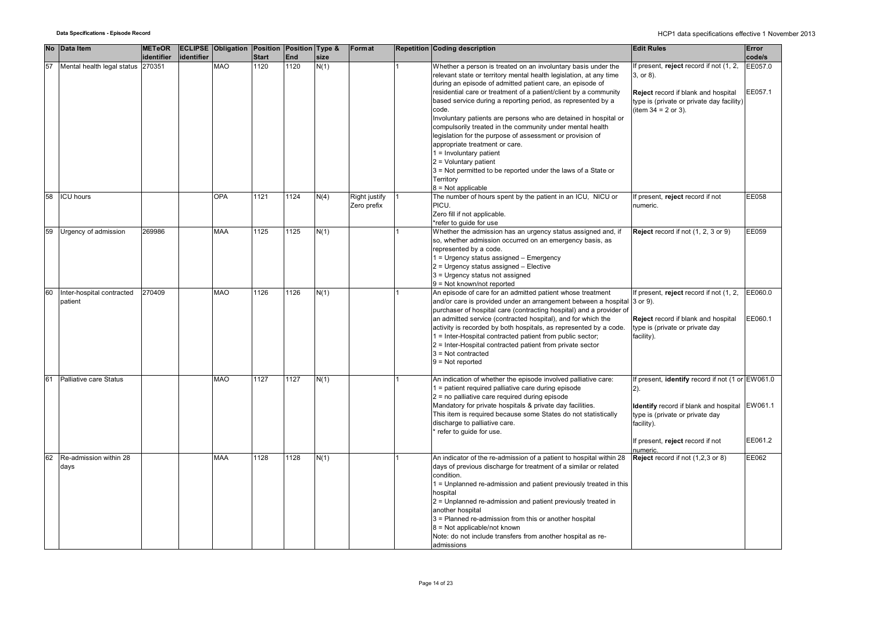|    | No Data Item                         | <b>METeOR</b><br>identifier | identifier | <b>ECLIPSE Obligation Position Position Type &amp;</b> | <b>Start</b> | End  | size | Format                       | <b>Repetition Coding description</b>                                                                                                                                                                                                                                                                                                                                                                                                                                                                                                                                                                                                                                                                                                        | <b>Edit Rules</b>                                                                                                                                                                                          | Error<br>code/s    |
|----|--------------------------------------|-----------------------------|------------|--------------------------------------------------------|--------------|------|------|------------------------------|---------------------------------------------------------------------------------------------------------------------------------------------------------------------------------------------------------------------------------------------------------------------------------------------------------------------------------------------------------------------------------------------------------------------------------------------------------------------------------------------------------------------------------------------------------------------------------------------------------------------------------------------------------------------------------------------------------------------------------------------|------------------------------------------------------------------------------------------------------------------------------------------------------------------------------------------------------------|--------------------|
| 57 | Mental health legal status 270351    |                             |            | <b>MAO</b>                                             | 1120         | 1120 | N(1) |                              | Whether a person is treated on an involuntary basis under the<br>relevant state or territory mental health legislation, at any time<br>during an episode of admitted patient care, an episode of<br>residential care or treatment of a patient/client by a community<br>based service during a reporting period, as represented by a<br>code.<br>Involuntary patients are persons who are detained in hospital or<br>compulsorily treated in the community under mental health<br>legislation for the purpose of assessment or provision of<br>appropriate treatment or care.<br>$1 =$ Involuntary patient<br>$2 =$ Voluntary patient<br>3 = Not permitted to be reported under the laws of a State or<br>Territory<br>$8 = Not applicable$ | f present, reject record if not (1, 2,<br>3, or 8).<br>Reject record if blank and hospital<br>type is (private or private day facility)<br>(item $34 = 2$ or 3).                                           | EE057.0<br>EE057.1 |
| 58 | <b>ICU</b> hours                     |                             |            | <b>OPA</b>                                             | 1121         | 1124 | N(4) | Right justify<br>Zero prefix | The number of hours spent by the patient in an ICU, NICU or<br>PICU.<br>Zero fill if not applicable.<br>*refer to guide for use                                                                                                                                                                                                                                                                                                                                                                                                                                                                                                                                                                                                             | f present, reject record if not<br>numeric.                                                                                                                                                                | EE058              |
| 59 | Urgency of admission                 | 269986                      |            | <b>MAA</b>                                             | 1125         | 1125 | N(1) |                              | Whether the admission has an urgency status assigned and, if<br>so, whether admission occurred on an emergency basis, as<br>represented by a code.<br>1 = Urgency status assigned - Emergency<br>2 = Urgency status assigned - Elective<br>3 = Urgency status not assigned<br>9 = Not known/not reported                                                                                                                                                                                                                                                                                                                                                                                                                                    | Reject record if not (1, 2, 3 or 9)                                                                                                                                                                        | EE059              |
| 60 | Inter-hospital contracted<br>patient | 270409                      |            | <b>MAO</b>                                             | 1126         | 1126 | N(1) |                              | An episode of care for an admitted patient whose treatment<br>and/or care is provided under an arrangement between a hospital 3 or 9).<br>purchaser of hospital care (contracting hospital) and a provider of<br>an admitted service (contracted hospital), and for which the<br>activity is recorded by both hospitals, as represented by a code.<br>1 = Inter-Hospital contracted patient from public sector;<br>2 = Inter-Hospital contracted patient from private sector<br>$3$ = Not contracted<br>$9 = Not reported$                                                                                                                                                                                                                  | f present, reject record if not (1, 2,<br>Reject record if blank and hospital<br>type is (private or private day<br>facility).                                                                             | EE060.0<br>EE060.1 |
| 61 | Palliative care Status               |                             |            | <b>MAO</b>                                             | 1127         | 1127 | N(1) |                              | An indication of whether the episode involved palliative care:<br>1 = patient required palliative care during episode<br>2 = no palliative care required during episode<br>Mandatory for private hospitals & private day facilities.<br>This item is required because some States do not statistically<br>discharge to palliative care.<br>refer to guide for use.                                                                                                                                                                                                                                                                                                                                                                          | f present, identify record if not (1 or EW061.0<br>$(2)$ .<br><b>Identify</b> record if blank and hospital<br>type is (private or private day<br>facility).<br>If present, reject record if not<br>numeric | EW061.1<br>EE061.2 |
| 62 | Re-admission within 28<br>days       |                             |            | <b>MAA</b>                                             | 1128         | 1128 | N(1) |                              | An indicator of the re-admission of a patient to hospital within 28<br>days of previous discharge for treatment of a similar or related<br>condition.<br>1 = Unplanned re-admission and patient previously treated in this<br>hospital<br>2 = Unplanned re-admission and patient previously treated in<br>another hospital<br>3 = Planned re-admission from this or another hospital<br>8 = Not applicable/not known<br>Note: do not include transfers from another hospital as re-<br>admissions                                                                                                                                                                                                                                           | Reject record if not (1,2,3 or 8)                                                                                                                                                                          | EE062              |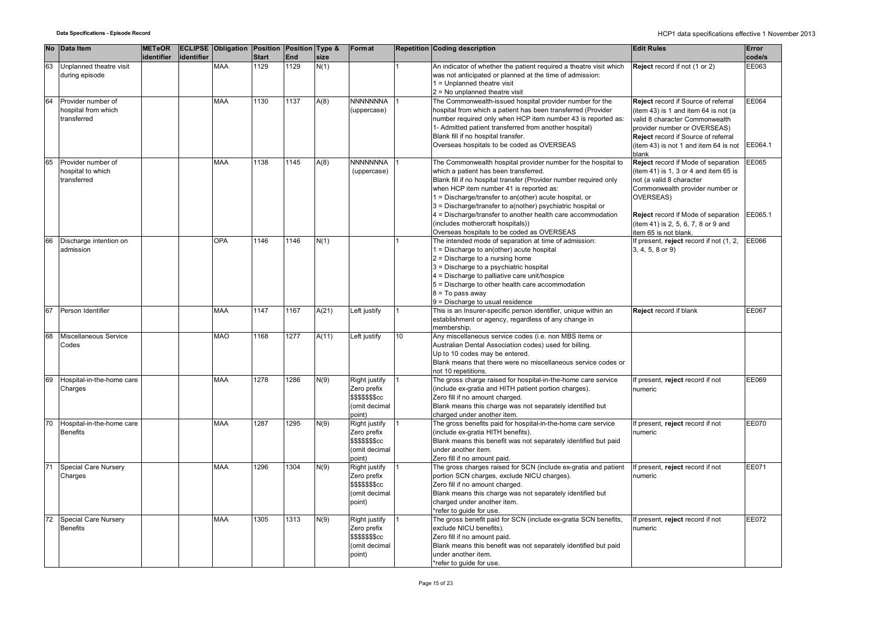|    | No Data Item                            | <b>METeOR</b> |            | <b>ECLIPSE Obligation Position Position Type &amp;</b> |              |      |       | Format                  |                 | <b>Repetition Coding description</b>                                                                | <b>Edit Rules</b>                                                | Error        |
|----|-----------------------------------------|---------------|------------|--------------------------------------------------------|--------------|------|-------|-------------------------|-----------------|-----------------------------------------------------------------------------------------------------|------------------------------------------------------------------|--------------|
|    |                                         | identifier    | identifier |                                                        | <b>Start</b> | End  | size  |                         |                 |                                                                                                     |                                                                  | code/s       |
| 63 | Unplanned theatre visit                 |               |            | MAA                                                    | 1129         | 1129 | N(1)  |                         |                 | An indicator of whether the patient required a theatre visit which                                  | Reject record if not (1 or 2)                                    | EE063        |
|    | during episode                          |               |            |                                                        |              |      |       |                         |                 | was not anticipated or planned at the time of admission:                                            |                                                                  |              |
|    |                                         |               |            |                                                        |              |      |       |                         |                 | $1 =$ Unplanned theatre visit                                                                       |                                                                  |              |
| 64 |                                         |               |            |                                                        |              |      |       |                         |                 | 2 = No unplanned theatre visit                                                                      |                                                                  |              |
|    | Provider number of                      |               |            | MAA                                                    | 1130         | 1137 | A(8)  | <b>NNNNNNNA</b>         |                 | The Commonwealth-issued hospital provider number for the                                            | Reject record if Source of referral                              | EE064        |
|    | hospital from which                     |               |            |                                                        |              |      |       | (uppercase)             |                 | hospital from which a patient has been transferred (Provider                                        | (item 43) is 1 and item 64 is not (a                             |              |
|    | transferred                             |               |            |                                                        |              |      |       |                         |                 | number required only when HCP item number 43 is reported as:                                        | valid 8 character Commonwealth                                   |              |
|    |                                         |               |            |                                                        |              |      |       |                         |                 | 1- Admitted patient transferred from another hospital)                                              | provider number or OVERSEAS)                                     |              |
|    |                                         |               |            |                                                        |              |      |       |                         |                 | Blank fill if no hospital transfer.                                                                 | Reject record if Source of referral                              |              |
|    |                                         |               |            |                                                        |              |      |       |                         |                 | Overseas hospitals to be coded as OVERSEAS                                                          | (item 43) is not 1 and item 64 is not                            | EE064.1      |
|    |                                         |               |            |                                                        |              |      |       |                         |                 |                                                                                                     | blank                                                            |              |
| 65 | Provider number of<br>hospital to which |               |            | <b>MAA</b>                                             | 1138         | 1145 | A(8)  | <b>NNNNNNNA</b>         |                 | The Commonwealth hospital provider number for the hospital to                                       | Reject record if Mode of separation                              | <b>EE065</b> |
|    | transferred                             |               |            |                                                        |              |      |       | (uppercase)             |                 | which a patient has been transferred.                                                               | (item 41) is 1, 3 or 4 and item 65 is                            |              |
|    |                                         |               |            |                                                        |              |      |       |                         |                 | Blank fill if no hospital transfer (Provider number required only                                   | not (a valid 8 character                                         |              |
|    |                                         |               |            |                                                        |              |      |       |                         |                 | when HCP item number 41 is reported as:                                                             | Commonwealth provider number or                                  |              |
|    |                                         |               |            |                                                        |              |      |       |                         |                 | 1 = Discharge/transfer to an(other) acute hospital, or                                              | <b>OVERSEAS)</b>                                                 |              |
|    |                                         |               |            |                                                        |              |      |       |                         |                 | 3 = Discharge/transfer to a(nother) psychiatric hospital or                                         |                                                                  |              |
|    |                                         |               |            |                                                        |              |      |       |                         |                 | 4 = Discharge/transfer to another health care accommodation                                         | Reject record if Mode of separation                              | EE065.1      |
|    |                                         |               |            |                                                        |              |      |       |                         |                 | (includes mothercraft hospitals))                                                                   | (item 41) is 2, 5, 6, 7, 8 or 9 and                              |              |
| 66 | Discharge intention on                  |               |            | OPA                                                    | 1146         | 1146 | N(1)  |                         |                 | Overseas hospitals to be coded as OVERSEAS<br>The intended mode of separation at time of admission: | item 65 is not blank.<br>If present, reject record if not (1, 2, | EE066        |
|    | admission                               |               |            |                                                        |              |      |       |                         |                 |                                                                                                     |                                                                  |              |
|    |                                         |               |            |                                                        |              |      |       |                         |                 | 1 = Discharge to an(other) acute hospital                                                           | 3, 4, 5, 8 or 9)                                                 |              |
|    |                                         |               |            |                                                        |              |      |       |                         |                 | $2 =$ Discharge to a nursing home                                                                   |                                                                  |              |
|    |                                         |               |            |                                                        |              |      |       |                         |                 | 3 = Discharge to a psychiatric hospital                                                             |                                                                  |              |
|    |                                         |               |            |                                                        |              |      |       |                         |                 | 4 = Discharge to palliative care unit/hospice                                                       |                                                                  |              |
|    |                                         |               |            |                                                        |              |      |       |                         |                 | 5 = Discharge to other health care accommodation                                                    |                                                                  |              |
|    |                                         |               |            |                                                        |              |      |       |                         |                 | $8 = To pass away$                                                                                  |                                                                  |              |
|    | Person Identifier                       |               |            | <b>MAA</b>                                             | 1147         | 1167 |       |                         |                 | 9 = Discharge to usual residence<br>This is an Insurer-specific person identifier, unique within an | Reject record if blank                                           | EE067        |
|    |                                         |               |            |                                                        |              |      | A(21) | Left justify            |                 | establishment or agency, regardless of any change in                                                |                                                                  |              |
|    |                                         |               |            |                                                        |              |      |       |                         |                 | membership.                                                                                         |                                                                  |              |
| 68 | Miscellaneous Service                   |               |            | <b>MAO</b>                                             | 1168         | 1277 | A(11) | Left justify            | 10 <sup>1</sup> | Any miscellaneous service codes (i.e. non MBS items or                                              |                                                                  |              |
|    | Codes                                   |               |            |                                                        |              |      |       |                         |                 | Australian Dental Association codes) used for billing.                                              |                                                                  |              |
|    |                                         |               |            |                                                        |              |      |       |                         |                 | Up to 10 codes may be entered.                                                                      |                                                                  |              |
|    |                                         |               |            |                                                        |              |      |       |                         |                 | Blank means that there were no miscellaneous service codes or                                       |                                                                  |              |
|    |                                         |               |            |                                                        |              |      |       |                         |                 | not 10 repetitions.                                                                                 |                                                                  |              |
| 69 | Hospital-in-the-home care               |               |            | MAA                                                    | 1278         | 1286 | N(9)  | Right justify           |                 | The gross charge raised for hospital-in-the-home care service                                       | f present, reject record if not                                  | EE069        |
|    | Charges                                 |               |            |                                                        |              |      |       | Zero prefix             |                 | (include ex-gratia and HITH patient portion charges).                                               | numeric                                                          |              |
|    |                                         |               |            |                                                        |              |      |       | <b>\$\$\$\$\$\$\$cc</b> |                 | Zero fill if no amount charged.                                                                     |                                                                  |              |
|    |                                         |               |            |                                                        |              |      |       | (omit decimal           |                 | Blank means this charge was not separately identified but                                           |                                                                  |              |
|    |                                         |               |            |                                                        |              |      |       | point)                  |                 | charged under another item.                                                                         |                                                                  |              |
| 70 | Hospital-in-the-home care               |               |            | <b>MAA</b>                                             | 1287         | 1295 | N(9)  | Right justify           |                 | The gross benefits paid for hospital-in-the-home care service                                       | f present, reject record if not                                  | <b>EE070</b> |
|    | <b>Benefits</b>                         |               |            |                                                        |              |      |       | Zero prefix             |                 | (include ex-gratia HITH benefits).                                                                  | numeric                                                          |              |
|    |                                         |               |            |                                                        |              |      |       | \$\$\$\$\$\$\$cc        |                 | Blank means this benefit was not separately identified but paid                                     |                                                                  |              |
|    |                                         |               |            |                                                        |              |      |       | (omit decimal           |                 | under another item.                                                                                 |                                                                  |              |
|    |                                         |               |            |                                                        |              |      |       | point)                  |                 | Zero fill if no amount paid.                                                                        |                                                                  |              |
|    | <b>Special Care Nursery</b>             |               |            | <b>MAA</b>                                             | 1296         | 1304 | N(9)  | Right justify           |                 | The gross charges raised for SCN (include ex-gratia and patient                                     | If present, reject record if not                                 | EE071        |
|    | Charges                                 |               |            |                                                        |              |      |       | Zero prefix             |                 | portion SCN charges, exclude NICU charges).                                                         | numeric                                                          |              |
|    |                                         |               |            |                                                        |              |      |       | <b>\$\$\$\$\$\$\$cc</b> |                 | Zero fill if no amount charged.                                                                     |                                                                  |              |
|    |                                         |               |            |                                                        |              |      |       | (omit decimal           |                 | Blank means this charge was not separately identified but                                           |                                                                  |              |
|    |                                         |               |            |                                                        |              |      |       | point)                  |                 | charged under another item.                                                                         |                                                                  |              |
|    |                                         |               |            |                                                        |              |      |       |                         |                 | *refer to guide for use.                                                                            |                                                                  |              |
| 72 | Special Care Nursery                    |               |            | <b>MAA</b>                                             | 1305         | 1313 | N(9)  | Right justify           |                 | The gross benefit paid for SCN (include ex-gratia SCN benefits,                                     | If present, reject record if not                                 | EE072        |
|    | <b>Benefits</b>                         |               |            |                                                        |              |      |       | Zero prefix             |                 | exclude NICU benefits).                                                                             | numeric                                                          |              |
|    |                                         |               |            |                                                        |              |      |       | <b>\$\$\$\$\$\$\$cc</b> |                 | Zero fill if no amount paid.                                                                        |                                                                  |              |
|    |                                         |               |            |                                                        |              |      |       | (omit decimal           |                 | Blank means this benefit was not separately identified but paid                                     |                                                                  |              |
|    |                                         |               |            |                                                        |              |      |       | point)                  |                 | under another item.                                                                                 |                                                                  |              |
|    |                                         |               |            |                                                        |              |      |       |                         |                 | *refer to guide for use.                                                                            |                                                                  |              |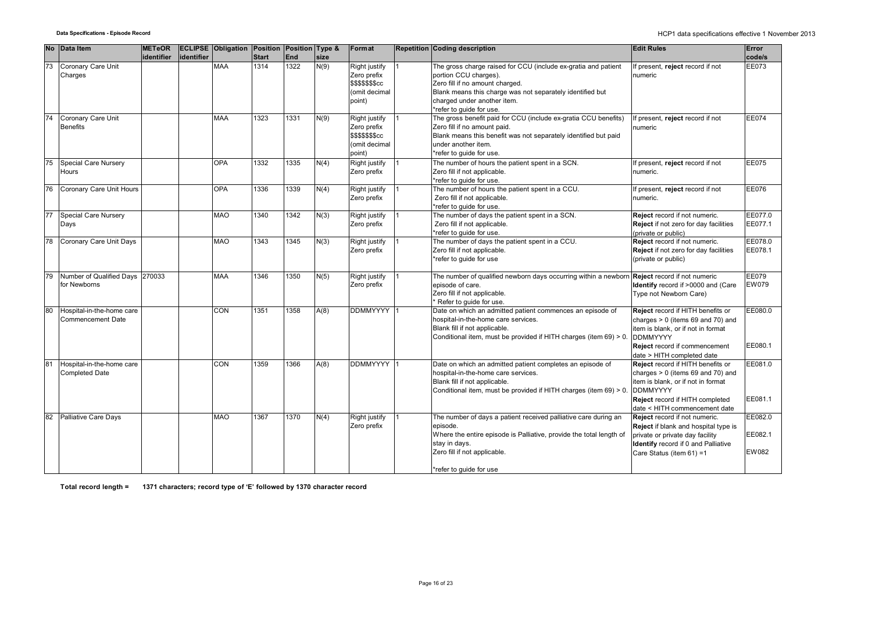|    | No Data Item                                       | <b>METeOR</b> |            | <b>ECLIPSE Obligation Position Position Type &amp;</b> |              |      |      | Format                                                                                   | <b>Repetition Coding description</b>                                                                                                                                                                                                               | <b>Edit Rules</b>                                                                                                                                                                                     | Error                       |
|----|----------------------------------------------------|---------------|------------|--------------------------------------------------------|--------------|------|------|------------------------------------------------------------------------------------------|----------------------------------------------------------------------------------------------------------------------------------------------------------------------------------------------------------------------------------------------------|-------------------------------------------------------------------------------------------------------------------------------------------------------------------------------------------------------|-----------------------------|
|    |                                                    | identifier    | identifier |                                                        | <b>Start</b> | End  | size |                                                                                          |                                                                                                                                                                                                                                                    |                                                                                                                                                                                                       | code/s                      |
| 73 | Coronary Care Unit<br>Charges                      |               |            | <b>MAA</b>                                             | 1314         | 1322 | N(9) | Right justify<br>Zero prefix<br><b>\$\$\$\$\$\$\$cc</b><br>(omit decimal<br>point)       | The gross charge raised for CCU (include ex-gratia and patient<br>portion CCU charges).<br>Zero fill if no amount charged.<br>Blank means this charge was not separately identified but<br>charged under another item.<br>*refer to quide for use. | If present, reject record if not<br>numeric                                                                                                                                                           | EE073                       |
|    | Coronary Care Unit<br><b>Benefits</b>              |               |            | MAA                                                    | 1323         | 1331 | N(9) | Right justify<br>Zero prefix<br>\$\$\$\$\$\$ <sub>\$</sub> cc<br>(omit decimal<br>point) | The gross benefit paid for CCU (include ex-gratia CCU benefits)<br>Zero fill if no amount paid.<br>Blank means this benefit was not separately identified but paid<br>under another item.<br>*refer to quide for use.                              | If present, reject record if not<br>numeric                                                                                                                                                           | EE074                       |
| 75 | Special Care Nursery<br>Hours                      |               |            | <b>OPA</b>                                             | 1332         | 1335 | N(4) | Right justify<br>Zero prefix                                                             | The number of hours the patient spent in a SCN.<br>Zero fill if not applicable.<br>*refer to guide for use.                                                                                                                                        | If present, reject record if not<br>numeric.                                                                                                                                                          | EE075                       |
| 76 | Coronary Care Unit Hours                           |               |            | OPA                                                    | 1336         | 1339 | N(4) | Right justify<br>Zero prefix                                                             | The number of hours the patient spent in a CCU.<br>Zero fill if not applicable.<br>*refer to quide for use.                                                                                                                                        | If present, reject record if not<br>numeric.                                                                                                                                                          | EE076                       |
| 77 | Special Care Nursery<br>Days                       |               |            | <b>MAO</b>                                             | 1340         | 1342 | N(3) | Right justify<br>Zero prefix                                                             | The number of days the patient spent in a SCN.<br>Zero fill if not applicable.<br>*refer to guide for use.                                                                                                                                         | Reject record if not numeric.<br>Reject if not zero for day facilities<br>(private or public)                                                                                                         | EE077.0<br>EE077.1          |
| 78 | Coronary Care Unit Days                            |               |            | <b>MAO</b>                                             | 1343         | 1345 | N(3) | Right justify<br>Zero prefix                                                             | The number of days the patient spent in a CCU.<br>Zero fill if not applicable.<br>*refer to guide for use                                                                                                                                          | Reject record if not numeric.<br><b>Reject</b> if not zero for day facilities<br>(private or public)                                                                                                  | EE078.0<br>EE078.1          |
|    | Number of Qualified Days 270033<br>for Newborns    |               |            | <b>MAA</b>                                             | 1346         | 1350 | N(5) | Right justify<br>Zero prefix                                                             | The number of qualified newborn days occurring within a newborn<br>episode of care.<br>Zero fill if not applicable.<br>Refer to guide for use.                                                                                                     | Reject record if not numeric<br>Identify record if >0000 and (Care<br>Type not Newborn Care)                                                                                                          | EE079<br>EW079              |
| 80 | Hospital-in-the-home care<br>Commencement Date     |               |            | CON                                                    | 1351         | 1358 | A(8) | <b>DDMMYYYY</b>                                                                          | Date on which an admitted patient commences an episode of<br>hospital-in-the-home care services.<br>Blank fill if not applicable.<br>Conditional item, must be provided if HITH charges (item 69) > 0.                                             | Reject record if HITH benefits or<br>charges $> 0$ (items 69 and 70) and<br>item is blank, or if not in format<br><b>DDMMYYYY</b><br>Reject record if commencement<br>date > HITH completed date      | EE080.0<br>EE080.1          |
| 81 | Hospital-in-the-home care<br><b>Completed Date</b> |               |            | CON                                                    | 1359         | 1366 | A(8) | <b>DDMMYYYY</b>                                                                          | Date on which an admitted patient completes an episode of<br>hospital-in-the-home care services.<br>Blank fill if not applicable.<br>Conditional item, must be provided if HITH charges (item 69) > 0                                              | Reject record if HITH benefits or<br>charges $> 0$ (items 69 and 70) and<br>item is blank, or if not in format<br><b>DDMMYYYY</b><br>Reject record if HITH completed<br>date < HITH commencement date | EE081.0<br>EE081.1          |
| 82 | <b>Palliative Care Days</b>                        |               |            | <b>MAO</b>                                             | 1367         | 1370 | N(4) | Right justify<br>Zero prefix                                                             | The number of days a patient received palliative care during an<br>episode.<br>Where the entire episode is Palliative, provide the total length of<br>stay in days.<br>Zero fill if not applicable.<br>*refer to quide for use                     | Reject record if not numeric.<br>Reject if blank and hospital type is<br>private or private day facility<br>Identify record if 0 and Palliative<br>Care Status (item 61) =1                           | EE082.0<br>EE082.1<br>EW082 |

**Total record length = 1371 characters; record type of 'E' followed by 1370 character record**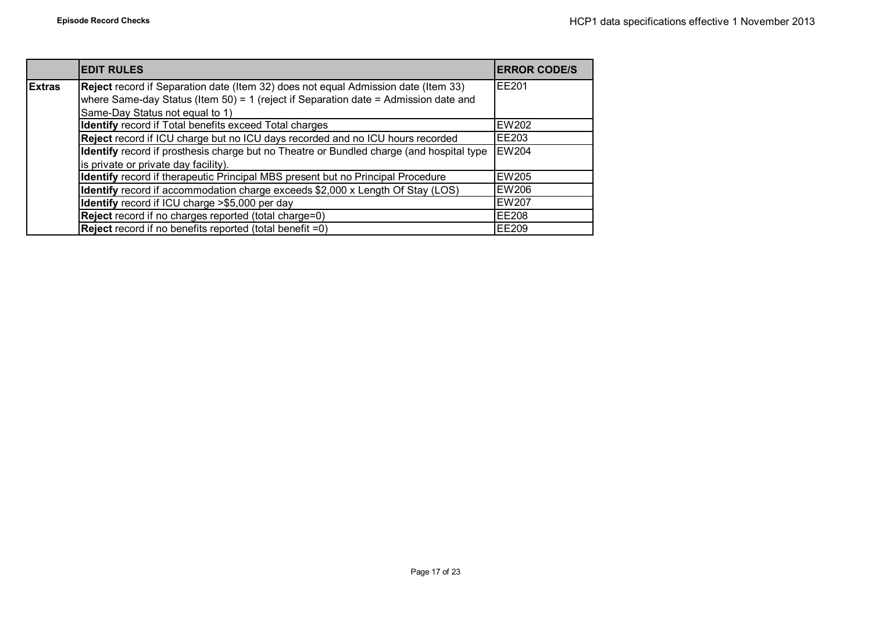|               | <b>EDIT RULES</b>                                                                        | <b>ERROR CODE/S</b> |
|---------------|------------------------------------------------------------------------------------------|---------------------|
| <b>Extras</b> | Reject record if Separation date (Item 32) does not equal Admission date (Item 33)       | <b>EE201</b>        |
|               | where Same-day Status (Item 50) = 1 (reject if Separation date = Admission date and      |                     |
|               | Same-Day Status not equal to 1)                                                          |                     |
|               | Identify record if Total benefits exceed Total charges                                   | <b>EW202</b>        |
|               | Reject record if ICU charge but no ICU days recorded and no ICU hours recorded           | EE203               |
|               | Identify record if prosthesis charge but no Theatre or Bundled charge (and hospital type | <b>EW204</b>        |
|               | is private or private day facility).                                                     |                     |
|               | Identify record if therapeutic Principal MBS present but no Principal Procedure          | <b>EW205</b>        |
|               | Identify record if accommodation charge exceeds \$2,000 x Length Of Stay (LOS)           | <b>EW206</b>        |
|               | Identify record if ICU charge >\$5,000 per day                                           | <b>EW207</b>        |
|               | Reject record if no charges reported (total charge=0)                                    | <b>EE208</b>        |
|               | <b>Reject</b> record if no benefits reported (total benefit =0)                          | <b>EE209</b>        |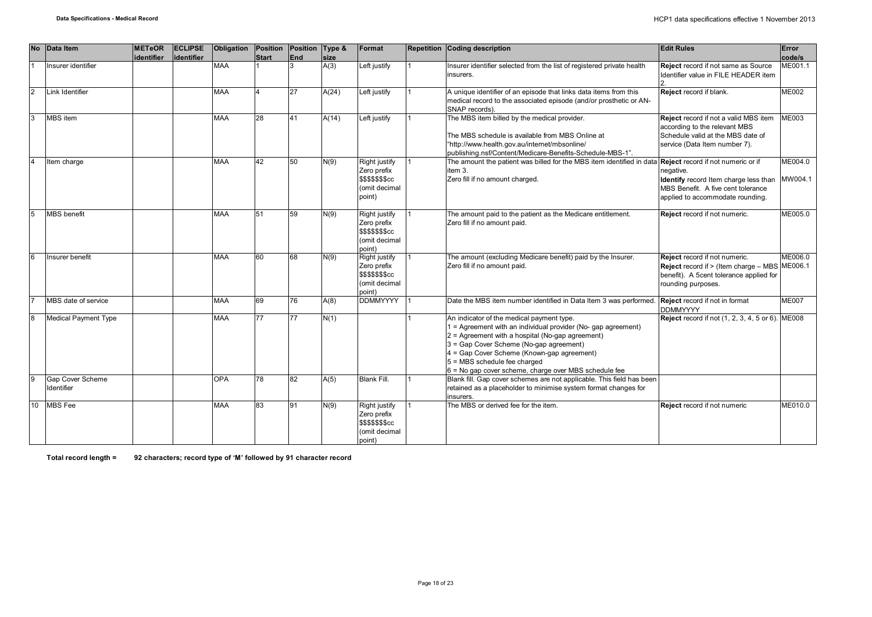| <b>No</b>      | Data Item                             | <b>METeOR</b> | <b>ECLIPSE</b>    | Obligation | Position       | Position Type & |                     | Format                                                                             | Repetition Coding description                                                                                                                                                                                                                                                                                                                    | <b>Edit Rules</b>                                                                                                                               | Error              |
|----------------|---------------------------------------|---------------|-------------------|------------|----------------|-----------------|---------------------|------------------------------------------------------------------------------------|--------------------------------------------------------------------------------------------------------------------------------------------------------------------------------------------------------------------------------------------------------------------------------------------------------------------------------------------------|-------------------------------------------------------------------------------------------------------------------------------------------------|--------------------|
|                | Insurer identifier                    | identifier    | <b>identifier</b> | <b>MAA</b> | <b>Start</b>   | End<br>3        | <b>size</b><br>A(3) | Left justify                                                                       | Insurer identifier selected from the list of registered private health<br>insurers.                                                                                                                                                                                                                                                              | <b>Reject</b> record if not same as Source<br>Identifier value in FILE HEADER item                                                              | code/s<br>ME001.1  |
| $\overline{2}$ | Link Identifier                       |               |                   | <b>MAA</b> | $\overline{4}$ | 27              | A(24)               | Left justify                                                                       | A unique identifier of an episode that links data items from this<br>medical record to the associated episode (and/or prosthetic or AN-<br>SNAP records).                                                                                                                                                                                        | Reject record if blank.                                                                                                                         | <b>ME002</b>       |
|                | MBS item                              |               |                   | MAA        | 28             | 41              | A(14)               | Left justify                                                                       | The MBS item billed by the medical provider.<br>The MBS schedule is available from MBS Online at<br>"http://www.health.gov.au/internet/mbsonline/<br>publishing.nsf/Content/Medicare-Benefits-Schedule-MBS-1".                                                                                                                                   | Reject record if not a valid MBS item<br>according to the relevant MBS<br>Schedule valid at the MBS date of<br>service (Data Item number 7).    | <b>ME003</b>       |
|                | Item charge                           |               |                   | <b>MAA</b> | 42             | 50              | N(9)                | Right justify<br>Zero prefix<br>\$\$\$\$\$\$\$cc<br>(omit decimal<br>point)        | The amount the patient was billed for the MBS item identified in data <b>Reject</b> record if not numeric or if<br>item 3.<br>Zero fill if no amount charged.                                                                                                                                                                                    | negative.<br>Identify record Item charge less than<br>MBS Benefit. A five cent tolerance<br>applied to accommodate rounding.                    | ME004.0<br>MW004.1 |
| 5              | <b>MBS</b> benefit                    |               |                   | <b>MAA</b> | 51             | 59              | N(9)                | Right justify<br>Zero prefix<br>\$\$\$\$\$\$\$cc<br>(omit decimal<br>point)        | The amount paid to the patient as the Medicare entitlement.<br>Zero fill if no amount paid.                                                                                                                                                                                                                                                      | Reject record if not numeric.                                                                                                                   | ME005.0            |
|                | Insurer benefit                       |               |                   | MAA        | 60             | 68              | N(9)                | Right justify<br>Zero prefix<br><b>\$\$\$\$\$\$\$cc</b><br>(omit decimal<br>point) | The amount (excluding Medicare benefit) paid by the Insurer.<br>Zero fill if no amount paid.                                                                                                                                                                                                                                                     | Reject record if not numeric.<br>Reject record if > (Item charge - MBS ME006.1<br>benefit). A 5cent tolerance applied for<br>rounding purposes. | ME006.0            |
|                | MBS date of service                   |               |                   | <b>MAA</b> | 69             | 76              | A(8)                | <b>DDMMYYYY</b>                                                                    | Date the MBS item number identified in Data Item 3 was performed. Reject record if not in format                                                                                                                                                                                                                                                 | <b>DDMMYYYY</b>                                                                                                                                 | <b>ME007</b>       |
|                | <b>Medical Payment Type</b>           |               |                   | MAA        | 77             | 77              | N(1)                |                                                                                    | An indicator of the medical payment type.<br>1 = Agreement with an individual provider (No- gap agreement)<br>2 = Agreement with a hospital (No-gap agreement)<br>3 = Gap Cover Scheme (No-gap agreement)<br>4 = Gap Cover Scheme (Known-gap agreement)<br>5 = MBS schedule fee charged<br>6 = No gap cover scheme, charge over MBS schedule fee | <b>Reject</b> record if not (1, 2, 3, 4, 5 or 6). ME008                                                                                         |                    |
| <b>9</b>       | <b>Gap Cover Scheme</b><br>Identifier |               |                   | <b>OPA</b> | 78             | 82              | A(5)                | <b>Blank Fill.</b>                                                                 | Blank fill. Gap cover schemes are not applicable. This field has been<br>retained as a placeholder to minimise system format changes for<br>insurers.                                                                                                                                                                                            |                                                                                                                                                 |                    |
|                | 10 MBS Fee                            |               |                   | <b>MAA</b> | 83             | 91              | N(9)                | Right justify<br>Zero prefix<br>\$\$\$\$\$\$\$cc<br>(omit decimal<br>point)        | The MBS or derived fee for the item.                                                                                                                                                                                                                                                                                                             | Reject record if not numeric                                                                                                                    | ME010.0            |

**Total record length = 92 characters; record type of 'M' followed by 91 character record**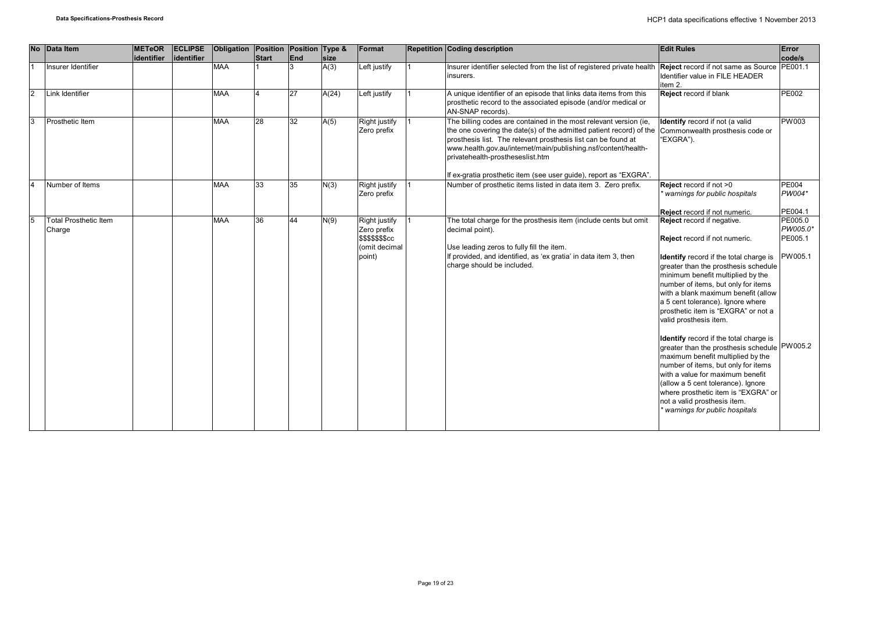| <b>No</b> | Data Item                              | <b>METeOR</b><br>identifier | <b>ECLIPSE</b><br>identifier | Obligation Position Position Type & | Start | End | size  | Format                                                                             | <b>Repetition Coding description</b>                                                                                                                                                                                                                                                                            | <b>Edit Rules</b>                                                                                                                                                                                                                                                                                                                                                                                                                                                                                                                                                                                                                                                                                                              | <b>Error</b><br>code/s                    |
|-----------|----------------------------------------|-----------------------------|------------------------------|-------------------------------------|-------|-----|-------|------------------------------------------------------------------------------------|-----------------------------------------------------------------------------------------------------------------------------------------------------------------------------------------------------------------------------------------------------------------------------------------------------------------|--------------------------------------------------------------------------------------------------------------------------------------------------------------------------------------------------------------------------------------------------------------------------------------------------------------------------------------------------------------------------------------------------------------------------------------------------------------------------------------------------------------------------------------------------------------------------------------------------------------------------------------------------------------------------------------------------------------------------------|-------------------------------------------|
|           | Insurer Identifier                     |                             |                              | <b>MAA</b>                          |       |     | A(3)  | Left justify                                                                       | Insurer identifier selected from the list of registered private health<br>insurers.                                                                                                                                                                                                                             | Reject record if not same as Source PE001.1<br><b>Identifier value in FILE HEADER</b><br>item 2.                                                                                                                                                                                                                                                                                                                                                                                                                                                                                                                                                                                                                               |                                           |
| l2        | Link Identifier                        |                             |                              | <b>MAA</b>                          |       | 27  | A(24) | Left justify                                                                       | A unique identifier of an episode that links data items from this<br>prosthetic record to the associated episode (and/or medical or<br>AN-SNAP records).                                                                                                                                                        | Reject record if blank                                                                                                                                                                                                                                                                                                                                                                                                                                                                                                                                                                                                                                                                                                         | <b>PE002</b>                              |
|           | Prosthetic Item                        |                             |                              | <b>MAA</b>                          | 28    | 32  | A(5)  | Right justify<br>Zero prefix                                                       | The billing codes are contained in the most relevant version (ie,<br>the one covering the date(s) of the admitted patient record) of the<br>prosthesis list. The relevant prosthesis list can be found at<br>www.health.gov.au/internet/main/publishing.nsf/content/health-<br>privatehealth-prostheseslist.htm | Identify record if not (a valid<br>Commonwealth prosthesis code or<br>"EXGRA").                                                                                                                                                                                                                                                                                                                                                                                                                                                                                                                                                                                                                                                | <b>PW003</b>                              |
|           |                                        |                             |                              |                                     |       |     |       |                                                                                    | If ex-gratia prosthetic item (see user guide), report as "EXGRA".                                                                                                                                                                                                                                               |                                                                                                                                                                                                                                                                                                                                                                                                                                                                                                                                                                                                                                                                                                                                |                                           |
|           | Number of Items                        |                             |                              | <b>MAA</b>                          | 33    | 35  | N(3)  | Right justify<br>Zero prefix                                                       | Number of prosthetic items listed in data item 3. Zero prefix.                                                                                                                                                                                                                                                  | Reject record if not >0<br>warnings for public hospitals                                                                                                                                                                                                                                                                                                                                                                                                                                                                                                                                                                                                                                                                       | <b>PE004</b><br>PW004*                    |
|           |                                        |                             |                              |                                     |       |     |       |                                                                                    |                                                                                                                                                                                                                                                                                                                 | Reject record if not numeric.                                                                                                                                                                                                                                                                                                                                                                                                                                                                                                                                                                                                                                                                                                  | PE004.1                                   |
|           | <b>Total Prosthetic Item</b><br>Charge |                             |                              | <b>MAA</b>                          | 36    | 44  | N(9)  | Right justify<br>Zero prefix<br><b>\$\$\$\$\$\$\$cc</b><br>(omit decimal<br>point) | The total charge for the prosthesis item (include cents but omit<br>decimal point).<br>Use leading zeros to fully fill the item.<br>If provided, and identified, as 'ex gratia' in data item 3, then<br>charge should be included.                                                                              | Reject record if negative.<br>Reject record if not numeric.<br>Identify record if the total charge is<br>greater than the prosthesis schedule<br>minimum benefit multiplied by the<br>number of items, but only for items<br>with a blank maximum benefit (allow<br>a 5 cent tolerance). Ignore where<br>prosthetic item is "EXGRA" or not a<br>valid prosthesis item.<br>Identify record if the total charge is<br>greater than the prosthesis schedule PW005.2<br>maximum benefit multiplied by the<br>number of items, but only for items<br>with a value for maximum benefit<br>(allow a 5 cent tolerance). Ignore<br>where prosthetic item is "EXGRA" or<br>not a valid prosthesis item.<br>warnings for public hospitals | PE005.0<br>PW005.0*<br>PE005.1<br>PW005.1 |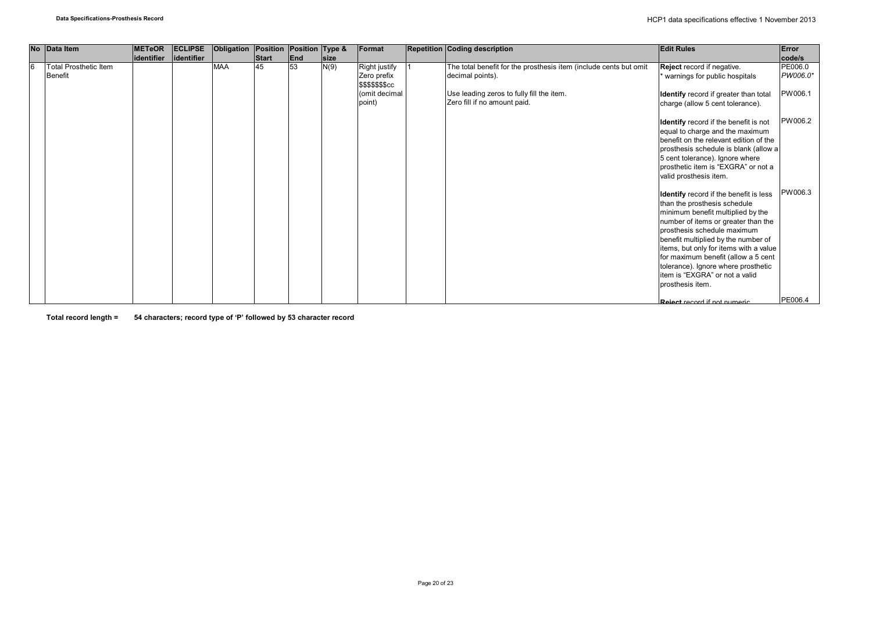| No Data Item                                   | <b>METeOR</b><br>identifier | <b>ECLIPSE</b><br>identifier | Obligation | Position<br>Start | Position Type &<br>End | <b>size</b> | Format                                                                             | <b>Repetition Coding description</b>                                                                                                                               | <b>Edit Rules</b>                                                                                                                                                                                                                                                                                                                                                                                      | Error<br>code/s                |
|------------------------------------------------|-----------------------------|------------------------------|------------|-------------------|------------------------|-------------|------------------------------------------------------------------------------------|--------------------------------------------------------------------------------------------------------------------------------------------------------------------|--------------------------------------------------------------------------------------------------------------------------------------------------------------------------------------------------------------------------------------------------------------------------------------------------------------------------------------------------------------------------------------------------------|--------------------------------|
| <b>Total Prosthetic Item</b><br><b>Benefit</b> |                             |                              | <b>MAA</b> | 45                | 53                     | N(9)        | <b>Right justify</b><br>Zero prefix<br>\$\$\$\$\$\$\$cc<br>(omit decimal<br>point) | The total benefit for the prosthesis item (include cents but omit<br>decimal points).<br>Use leading zeros to fully fill the item.<br>Zero fill if no amount paid. | Reject record if negative.<br>warnings for public hospitals<br>Identify record if greater than total<br>charge (allow 5 cent tolerance).                                                                                                                                                                                                                                                               | PE006.0<br>PW006.0*<br>PW006.1 |
|                                                |                             |                              |            |                   |                        |             |                                                                                    |                                                                                                                                                                    | <b>Identify</b> record if the benefit is not<br>equal to charge and the maximum<br>benefit on the relevant edition of the<br>prosthesis schedule is blank (allow a<br>5 cent tolerance). Ignore where<br>prosthetic item is "EXGRA" or not a<br>valid prosthesis item.                                                                                                                                 | PW006.2                        |
|                                                |                             |                              |            |                   |                        |             |                                                                                    |                                                                                                                                                                    | Identify record if the benefit is less<br>than the prosthesis schedule<br>minimum benefit multiplied by the<br>number of items or greater than the<br>prosthesis schedule maximum<br>benefit multiplied by the number of<br>items, but only for items with a value<br>for maximum benefit (allow a 5 cent<br>tolerance). Ignore where prosthetic<br>item is "EXGRA" or not a valid<br>prosthesis item. | PW006.3                        |
|                                                |                             |                              |            |                   |                        |             |                                                                                    |                                                                                                                                                                    | Poiect record if not numeric                                                                                                                                                                                                                                                                                                                                                                           | PE006.4                        |

**Total record length = 54 characters; record type of 'P' followed by 53 character record**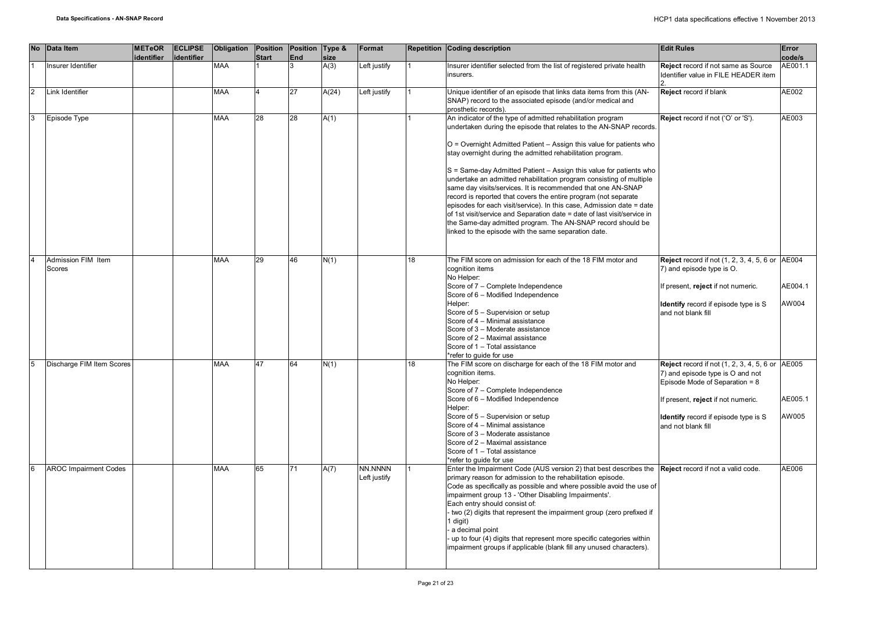|                | No Data Item                               | <b>METeOR</b><br>identifier | <b>ECLIPSE</b><br>identifier | Obligation | Position<br><b>Start</b> | Position Type &<br>End | size  | Format                  |                 | Repetition Coding description                                                                                                                                                                                                                                                                                                                                                                                                                                                                                                                                                                                                                                                                                                                                                                                                      | <b>Edit Rules</b>                                                                                                                                                                                                               | Error<br>code/s  |
|----------------|--------------------------------------------|-----------------------------|------------------------------|------------|--------------------------|------------------------|-------|-------------------------|-----------------|------------------------------------------------------------------------------------------------------------------------------------------------------------------------------------------------------------------------------------------------------------------------------------------------------------------------------------------------------------------------------------------------------------------------------------------------------------------------------------------------------------------------------------------------------------------------------------------------------------------------------------------------------------------------------------------------------------------------------------------------------------------------------------------------------------------------------------|---------------------------------------------------------------------------------------------------------------------------------------------------------------------------------------------------------------------------------|------------------|
|                | Insurer Identifier                         |                             |                              | <b>MAA</b> |                          |                        | A(3)  | Left justify            |                 | Insurer identifier selected from the list of registered private health                                                                                                                                                                                                                                                                                                                                                                                                                                                                                                                                                                                                                                                                                                                                                             | Reject record if not same as Source                                                                                                                                                                                             | AE001.1          |
|                |                                            |                             |                              |            |                          |                        |       |                         |                 | insurers.                                                                                                                                                                                                                                                                                                                                                                                                                                                                                                                                                                                                                                                                                                                                                                                                                          | Identifier value in FILE HEADER item                                                                                                                                                                                            |                  |
| 12             | Link Identifier                            |                             |                              | <b>MAA</b> |                          | 27                     | A(24) | Left justify            |                 | Unique identifier of an episode that links data items from this (AN-<br>SNAP) record to the associated episode (and/or medical and<br>prosthetic records).                                                                                                                                                                                                                                                                                                                                                                                                                                                                                                                                                                                                                                                                         | Reject record if blank                                                                                                                                                                                                          | AE002            |
| 3              | Episode Type                               |                             |                              | MAA        | 28                       | 28                     | A(1)  |                         |                 | An indicator of the type of admitted rehabilitation program<br>undertaken during the episode that relates to the AN-SNAP records.<br>O = Overnight Admitted Patient - Assign this value for patients who<br>stay overnight during the admitted rehabilitation program.<br>S = Same-day Admitted Patient - Assign this value for patients who<br>undertake an admitted rehabilitation program consisting of multiple<br>same day visits/services. It is recommended that one AN-SNAP<br>record is reported that covers the entire program (not separate<br>episodes for each visit/service). In this case, Admission date = date<br>of 1st visit/service and Separation date = date of last visit/service in<br>the Same-day admitted program. The AN-SNAP record should be<br>linked to the episode with the same separation date. | Reject record if not ('O' or 'S').                                                                                                                                                                                              | AE003            |
| $\overline{4}$ | <b>Admission FIM Item</b><br><b>Scores</b> |                             |                              | <b>MAA</b> | 29                       | 46                     | N(1)  |                         | 18              | The FIM score on admission for each of the 18 FIM motor and<br>cognition items<br>No Helper:<br>Score of 7 - Complete Independence<br>Score of 6 - Modified Independence<br>Helper:<br>Score of 5 - Supervision or setup<br>Score of 4 - Minimal assistance<br>Score of 3 - Moderate assistance<br>Score of 2 - Maximal assistance<br>Score of 1 - Total assistance<br>*refer to quide for use                                                                                                                                                                                                                                                                                                                                                                                                                                     | <b>Reject</b> record if not (1, 2, 3, 4, 5, 6 or AE004<br>7) and episode type is O.<br>If present, reject if not numeric.<br>Identify record if episode type is S<br>and not blank fill                                         | AE004.1<br>AW004 |
|                | Discharge FIM Item Scores                  |                             |                              | <b>MAA</b> | 47                       | 64                     | N(1)  |                         | $\overline{18}$ | The FIM score on discharge for each of the 18 FIM motor and<br>cognition items.<br>No Helper:<br>Score of 7 - Complete Independence<br>Score of 6 - Modified Independence<br>Helper:<br>Score of 5 - Supervision or setup<br>Score of 4 - Minimal assistance<br>Score of 3 - Moderate assistance<br>Score of 2 - Maximal assistance<br>Score of 1 - Total assistance<br>*refer to quide for use                                                                                                                                                                                                                                                                                                                                                                                                                                    | <b>Reject</b> record if not (1, 2, 3, 4, 5, 6 or AE005<br>7) and episode type is O and not<br>Episode Mode of Separation = 8<br>f present, reject if not numeric.<br>Identify record if episode type is S<br>and not blank fill | AE005.1<br>AW005 |
| l6             | <b>AROC Impairment Codes</b>               |                             |                              | <b>MAA</b> | 65                       | 71                     | A(7)  | NN.NNNN<br>Left justify |                 | Enter the Impairment Code (AUS version 2) that best describes the Reject record if not a valid code.<br>primary reason for admission to the rehabilitation episode.<br>Code as specifically as possible and where possible avoid the use of<br>impairment group 13 - 'Other Disabling Impairments'.<br>Each entry should consist of:<br>- two (2) digits that represent the impairment group (zero prefixed if<br>1 digit)<br>a decimal point<br>up to four (4) digits that represent more specific categories within<br>impairment groups if applicable (blank fill any unused characters).                                                                                                                                                                                                                                       |                                                                                                                                                                                                                                 | AE006            |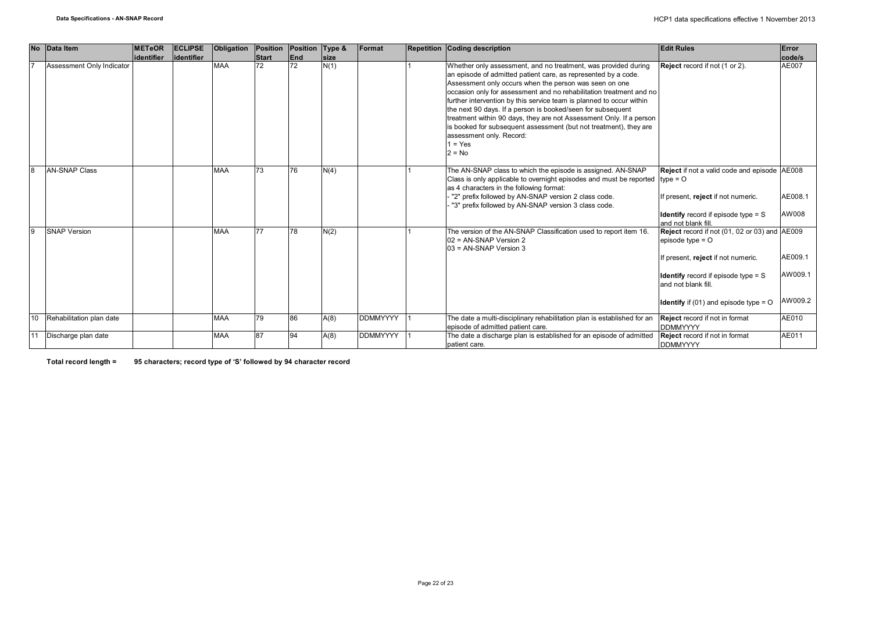|    | No Data Item              | <b>METeOR</b> | <b>ECLIPSE</b> | Obligation | <b>Position</b> | Position Type &   |             | Format          | Repetition Coding description                                                                                                                                                                                                                                                                                                                                                                                                                                                                                                                                                                             | <b>Edit Rules</b>                                                                                                                                                                                                                            | Error                         |
|----|---------------------------|---------------|----------------|------------|-----------------|-------------------|-------------|-----------------|-----------------------------------------------------------------------------------------------------------------------------------------------------------------------------------------------------------------------------------------------------------------------------------------------------------------------------------------------------------------------------------------------------------------------------------------------------------------------------------------------------------------------------------------------------------------------------------------------------------|----------------------------------------------------------------------------------------------------------------------------------------------------------------------------------------------------------------------------------------------|-------------------------------|
|    |                           | lidentifier   | lidentifier    |            | <b>Start</b>    | End               | <b>size</b> |                 |                                                                                                                                                                                                                                                                                                                                                                                                                                                                                                                                                                                                           |                                                                                                                                                                                                                                              | code/s                        |
| 17 | Assessment Only Indicator |               |                | <b>MAA</b> | 72              | 72                | N(1)        |                 | Whether only assessment, and no treatment, was provided during<br>an episode of admitted patient care, as represented by a code.<br>Assessment only occurs when the person was seen on one<br>occasion only for assessment and no rehabilitation treatment and no<br>further intervention by this service team is planned to occur within<br>the next 90 days. If a person is booked/seen for subsequent<br>treatment within 90 days, they are not Assessment Only. If a person<br>is booked for subsequent assessment (but not treatment), they are<br>assessment only. Record:<br>$1 = Yes$<br>$2 = No$ | Reject record if not (1 or 2).                                                                                                                                                                                                               | AE007                         |
| 8  | <b>AN-SNAP Class</b>      |               |                | <b>MAA</b> | 73              | 76                | N(4)        |                 | The AN-SNAP class to which the episode is assigned. AN-SNAP<br>Class is only applicable to overnight episodes and must be reported $ $ type = O<br>as 4 characters in the following format:<br>"2" prefix followed by AN-SNAP version 2 class code.<br>"3" prefix followed by AN-SNAP version 3 class code.                                                                                                                                                                                                                                                                                               | Reject if not a valid code and episode AE008<br>If present, reject if not numeric.<br><b>Identify</b> record if episode type $=$ S<br>and not blank fill.                                                                                    | AE008.1<br>AW008              |
| 9  | <b>SNAP Version</b>       |               |                | <b>MAA</b> | 77              | 78                | N(2)        |                 | The version of the AN-SNAP Classification used to report item 16.<br>02 = AN-SNAP Version 2<br>03 = AN-SNAP Version 3                                                                                                                                                                                                                                                                                                                                                                                                                                                                                     | Reject record if not (01, 02 or 03) and AE009<br>episode type $=$ $\circ$<br>If present, reject if not numeric.<br><b>Identify</b> record if episode type $=$ S<br>and not blank fill.<br><b>Identify</b> if (01) and episode type = $\circ$ | AE009.1<br>AW009.1<br>AW009.2 |
| 10 | Rehabilitation plan date  |               |                | <b>MAA</b> | 79              | 86                | A(8)        | <b>DDMMYYYY</b> | The date a multi-disciplinary rehabilitation plan is established for an<br>episode of admitted patient care.                                                                                                                                                                                                                                                                                                                                                                                                                                                                                              | <b>Reject</b> record if not in format<br><b>DDMMYYYY</b>                                                                                                                                                                                     | AE010                         |
| 11 | Discharge plan date       |               |                | <b>MAA</b> | 87              | $Q_{\mathcal{A}}$ | A(8)        | <b>DDMMYYYY</b> | The date a discharge plan is established for an episode of admitted<br>patient care.                                                                                                                                                                                                                                                                                                                                                                                                                                                                                                                      | Reject record if not in format<br><b>DDMMYYYY</b>                                                                                                                                                                                            | AE011                         |

**Total record length = 95 characters; record type of 'S' followed by 94 character record**